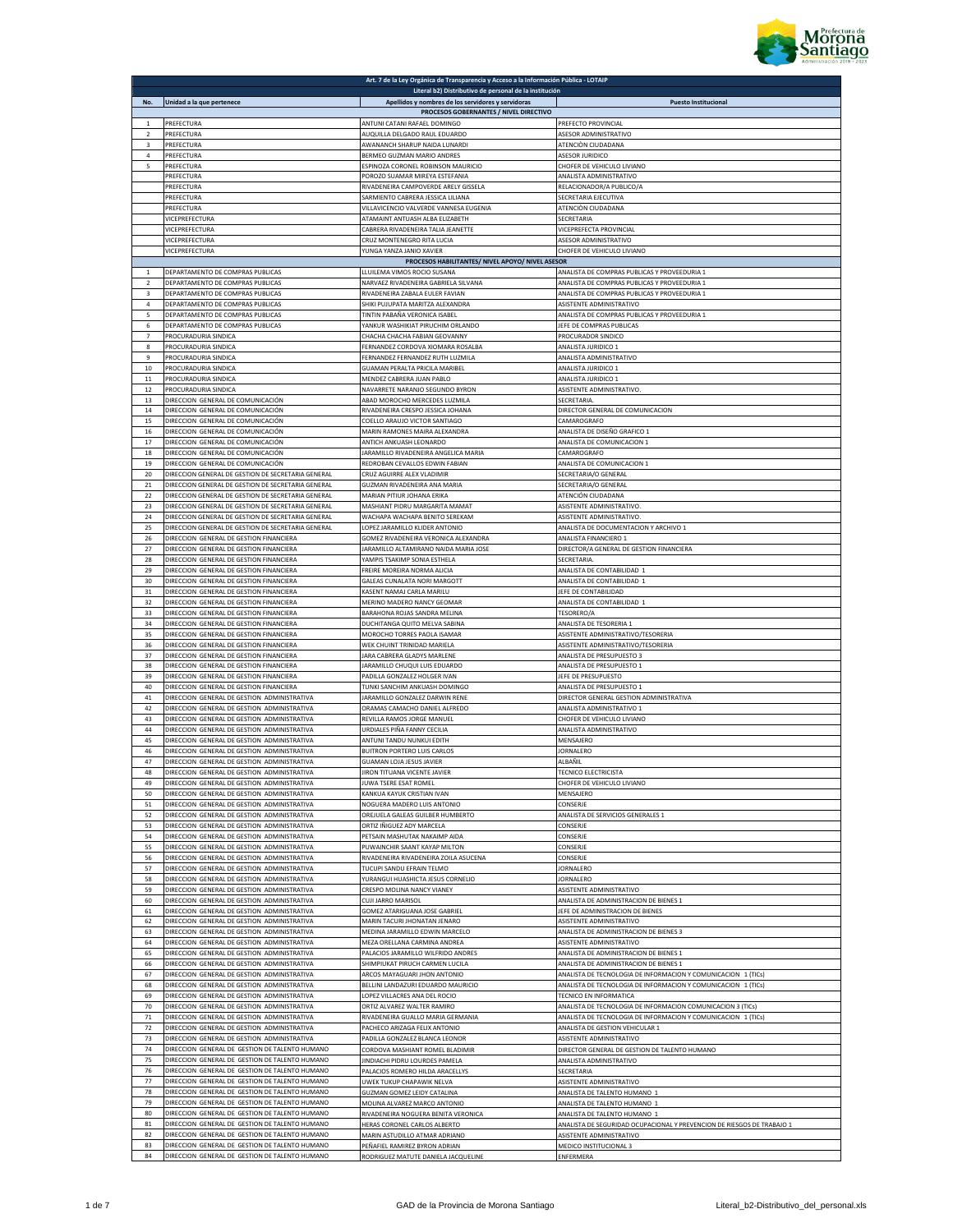

|                     |                                                                                                          | Art. 7 de la Ley Orgánica de Transparencia y Acceso a la Información Pública - LOTAIP        |                                                                                                                                |
|---------------------|----------------------------------------------------------------------------------------------------------|----------------------------------------------------------------------------------------------|--------------------------------------------------------------------------------------------------------------------------------|
|                     |                                                                                                          | Literal b2) Distributivo de personal de la institución                                       |                                                                                                                                |
| No.                 | Unidad a la que pertenece                                                                                | Apellidos y nombres de los servidores y servidoras<br>PROCESOS GOBERNANTES / NIVEL DIRECTIVO | <b>Puesto Institucional</b>                                                                                                    |
| 1                   | PREFECTURA                                                                                               | ANTUNI CATANI RAFAEL DOMINGO                                                                 | PREFECTO PROVINCIAL                                                                                                            |
| $\overline{2}$<br>3 | PREFECTURA<br>PREFECTURA                                                                                 | AUQUILLA DELGADO RAUL EDUARDO<br>AWANANCH SHARUP NAIDA LUNARDI                               | ASESOR ADMINISTRATIVO<br>ATENCIÒN CIUDADANA                                                                                    |
| $\sqrt{4}$          | PREFECTURA                                                                                               | BERMEO GUZMAN MARIO ANDRES                                                                   | ASESOR JURIDICO                                                                                                                |
| 5                   | PREFECTURA                                                                                               | ESPINOZA CORONEL ROBINSON MAURICIO                                                           | CHOFER DE VEHICULO LIVIANO                                                                                                     |
|                     | PREFECTURA<br>PREFECTURA                                                                                 | POROZO SUAMAR MIREYA ESTEFANIA<br>RIVADENEIRA CAMPOVERDE ARELY GISSELA                       | ANALISTA ADMINISTRATIVO<br>RELACIONADOR/A PUBLICO/A                                                                            |
|                     | PREFECTURA                                                                                               | SARMIENTO CABRERA JESSICA LILIANA                                                            | SECRETARIA EJECUTIVA                                                                                                           |
|                     | PREFECTURA                                                                                               | VILLAVICENCIO VALVERDE VANNESA EUGENIA                                                       | ATENCIÒN CIUDADANA                                                                                                             |
|                     | VICEPREFECTURA<br>VICEPREFECTURA                                                                         | ATAMAINT ANTUASH ALBA ELIZABETH<br>CABRERA RIVADENEIRA TALIA JEANETTE                        | SECRETARIA<br>VICEPREFECTA PROVINCIAL                                                                                          |
|                     | VICEPREFECTURA                                                                                           | CRUZ MONTENEGRO RITA LUCIA                                                                   | ASESOR ADMINISTRATIVO                                                                                                          |
|                     | VICEPREFECTURA                                                                                           | YUNGA YANZA JANIO XAVIER<br>PROCESOS HABILITANTES/ NIVEL APOYO/ NIVEL ASESOR                 | CHOFER DE VEHICULO LIVIANO                                                                                                     |
|                     | DEPARTAMENTO DE COMPRAS PUBLICAS                                                                         | LLUILEMA VIMOS ROCIO SUSANA                                                                  | ANALISTA DE COMPRAS PUBLICAS Y PROVEEDURIA 1                                                                                   |
| $\overline{2}$      | DEPARTAMENTO DE COMPRAS PUBLICAS                                                                         | NARVAEZ RIVADENEIRA GABRIELA SILVANA                                                         | ANALISTA DE COMPRAS PUBLICAS Y PROVEEDURIA 1                                                                                   |
| 3<br>$\sqrt{4}$     | DEPARTAMENTO DE COMPRAS PUBLICAS<br>DEPARTAMENTO DE COMPRAS PUBLICAS                                     | RIVADENEIRA ZABALA EULER FAVIAN<br>SHIKI PUJUPATA MARITZA ALEXANDRA                          | ANALISTA DE COMPRAS PUBLICAS Y PROVEEDURIA 1<br>ASISTENTE ADMINISTRATIVO                                                       |
| 5                   | DEPARTAMENTO DE COMPRAS PUBLICAS                                                                         | TINTIN PABAÑA VERONICA ISABEL                                                                | ANALISTA DE COMPRAS PUBLICAS Y PROVEEDURIA 1                                                                                   |
| 6<br>$\overline{7}$ | DEPARTAMENTO DE COMPRAS PUBLICAS<br>PROCURADURIA SINDICA                                                 | YANKUR WASHIKIAT PIRUCHIM ORLANDO<br>CHACHA CHACHA FABIAN GEOVANNY                           | <b>IEFE DE COMPRAS PUBLICAS</b><br>PROCURADOR SINDICO                                                                          |
| 8                   | PROCURADURIA SINDICA                                                                                     | FERNANDEZ CORDOVA XIOMARA ROSALBA                                                            | ANALISTA JURIDICO 1                                                                                                            |
| $\,9$               | PROCURADURIA SINDICA                                                                                     | FERNANDEZ FERNANDEZ RUTH LUZMILA                                                             | ANALISTA ADMINISTRATIVO                                                                                                        |
| $10\,$<br>$11\,$    | PROCURADURIA SINDICA<br>PROCURADURIA SINDICA                                                             | <b>GUAMAN PERALTA PRICILA MARIBEL</b><br>MENDEZ CABRERA JUAN PABLO                           | ANALISTA JURIDICO 1<br>ANALISTA JURIDICO 1                                                                                     |
| 12                  | PROCURADURIA SINDICA                                                                                     | NAVARRETE NARANJO SEGUNDO BYRON                                                              | ASISTENTE ADMINISTRATIVO.                                                                                                      |
| 13                  | DIRECCION GENERAL DE COMUNICACIÓN<br>DIRECCION GENERAL DE COMUNICACIÓN                                   | ABAD MOROCHO MERCEDES LUZMILA                                                                | <b>SECRETARIA</b><br>DIRECTOR GENERAL DE COMUNICACION                                                                          |
| 14<br>15            | DIRECCION GENERAL DE COMUNICACIÓN                                                                        | RIVADENEIRA CRESPO JESSICA JOHANA<br>COELLO ARAUJO VICTOR SANTIAGO                           | CAMAROGRAFO                                                                                                                    |
| 16                  | DIRECCION GENERAL DE COMUNICACIÓN                                                                        | MARIN RAMONES MAIRA ALEXANDRA                                                                | ANALISTA DE DISEÑO GRAFICO 1                                                                                                   |
| 17<br>18            | DIRECCION GENERAL DE COMUNICACIÓN<br>DIRECCION GENERAL DE COMUNICACIÓN                                   | ANTICH ANKUASH LEONARDO<br>JARAMILLO RIVADENEIRA ANGELICA MARIA                              | ANALISTA DE COMUNICACION 1<br>CAMAROGRAFO                                                                                      |
| 19                  | DIRECCION GENERAL DE COMUNICACIÓN                                                                        | REDROBAN CEVALLOS EDWIN FABIAN                                                               | ANALISTA DE COMUNICACION 1                                                                                                     |
| 20                  | DIRECCION GENERAL DE GESTION DE SECRETARIA GENERAL                                                       | CRUZ AGUIRRE ALEX VLADIMIR                                                                   | SECRETARIA/O GENERAL                                                                                                           |
| 21<br>22            | DIRECCION GENERAL DE GESTION DE SECRETARIA GENERAL<br>DIRECCION GENERAL DE GESTION DE SECRETARIA GENERAL | GUZMAN RIVADENEIRA ANA MARIA<br>MARIAN PITIUR JOHANA ERIKA                                   | SECRETARIA/O GENERAL<br>ATENCIÓN CIUDADANA                                                                                     |
| 23                  | DIRECCION GENERAL DE GESTION DE SECRETARIA GENERAL                                                       | MASHIANT PIDRU MARGARITA MAMAT                                                               | ASISTENTE ADMINISTRATIVO.                                                                                                      |
| 24                  | DIRECCION GENERAL DE GESTION DE SECRETARIA GENERAL                                                       | WACHAPA WACHAPA BENITO SEREKAM                                                               | ASISTENTE ADMINISTRATIVO.                                                                                                      |
| 25<br>26            | DIRECCION GENERAL DE GESTION DE SECRETARIA GENERAL<br>DIRECCION GENERAL DE GESTION FINANCIERA            | LOPEZ JARAMILLO KLIDER ANTONIO<br>GOMEZ RIVADENEIRA VERONICA ALEXANDRA                       | ANALISTA DE DOCUMENTACION Y ARCHIVO 1<br>ANALISTA FINANCIERO 1                                                                 |
| 27                  | DIRECCION GENERAL DE GESTION FINANCIERA                                                                  | JARAMILLO ALTAMIRANO NAIDA MARIA JOSE                                                        | DIRECTOR/A GENERAL DE GESTION FINANCIERA                                                                                       |
| 28<br>29            | DIRECCION GENERAL DE GESTION FINANCIERA<br>DIRECCION GENERAL DE GESTION FINANCIERA                       | YAMPIS TSAKIMP SONIA ESTHELA<br>FREIRE MOREIRA NORMA ALICIA                                  | SECRETARIA<br>ANALISTA DE CONTABILIDAD 1                                                                                       |
| 30                  | DIRECCION GENERAL DE GESTION FINANCIERA                                                                  | GALEAS CUNALATA NORI MARGOTT                                                                 | ANALISTA DE CONTABILIDAD 1                                                                                                     |
| 31                  | DIRECCION GENERAL DE GESTION FINANCIERA                                                                  | KASENT NAMAJ CARLA MARILU                                                                    | <b>JEFE DE CONTABILIDAD</b>                                                                                                    |
| 32<br>33            | DIRECCION GENERAL DE GESTION FINANCIERA<br>DIRECCION GENERAL DE GESTION FINANCIERA                       | MERINO MADERO NANCY GEOMAR<br>BARAHONA ROJAS SANDRA MELINA                                   | ANALISTA DE CONTABILIDAD 1<br>TESORERO/A                                                                                       |
| 34                  | DIRECCION GENERAL DE GESTION FINANCIERA                                                                  | DUCHITANGA QUITO MELVA SABINA                                                                | ANALISTA DE TESORERIA 1                                                                                                        |
| 35<br>36            | DIRECCION GENERAL DE GESTION FINANCIERA<br>DIRECCION GENERAL DE GESTION FINANCIERA                       | MOROCHO TORRES PAOLA ISAMAR<br>WEK CHUINT TRINIDAD MARIELA                                   | ASISTENTE ADMINISTRATIVO/TESORERIA<br>ASISTENTE ADMINISTRATIVO/TESORERIA                                                       |
| 37                  | DIRECCION GENERAL DE GESTION FINANCIERA                                                                  | JARA CABRERA GLADYS MARLENE                                                                  | ANALISTA DE PRESUPUESTO 3                                                                                                      |
| 38                  | DIRECCION GENERAL DE GESTION FINANCIERA                                                                  | JARAMILLO CHUQUI LUIS EDUARDO                                                                | ANALISTA DE PRESUPUESTO 1                                                                                                      |
| 39<br>40            | DIRECCION GENERAL DE GESTION FINANCIERA<br>DIRECCION GENERAL DE GESTION FINANCIERA                       | PADILLA GONZALEZ HOLGER IVAN<br>TUNKI SANCHIM ANKUASH DOMINGO                                | JEFE DE PRESUPUESTO<br>ANALISTA DE PRESUPUESTO 1                                                                               |
| 41                  | DIRECCION GENERAL DE GESTION ADMINISTRATIVA                                                              | JARAMILLO GONZALEZ DARWIN RENE                                                               | DIRECTOR GENERAL GESTION ADMINISTRATIVA                                                                                        |
| 42<br>43            | DIRECCION GENERAL DE GESTION ADMINISTRATIVA<br>DIRECCION GENERAL DE GESTION ADMINISTRATIVA               | ORAMAS CAMACHO DANIEL ALFREDO<br>REVILLA RAMOS JORGE MANUEL                                  | ANALISTA ADMINISTRATIVO 1<br>CHOFER DE VEHICULO LIVIANO                                                                        |
| 44                  | DIRECCION GENERAL DE GESTION ADMINISTRATIVA                                                              | URDIALES PIÑA FANNY CECILIA                                                                  | ANALISTA ADMINISTRATIVO                                                                                                        |
| 45                  | DIRECCION GENERAL DE GESTION ADMINISTRATIVA                                                              | ANTUNI TANDU NUNKUI EDITH                                                                    | MENSAJERO                                                                                                                      |
| 46<br>47            | DIRECCION GENERAL DE GESTION ADMINISTRATIVA<br>DIRECCION GENERAL DE GESTION ADMINISTRATIVA               | <b>BUITRON PORTERO LUIS CARLOS</b><br><b>GUAMAN LOJA JESUS JAVIER</b>                        | <b>JORNALERO</b><br>ALBAÑIL                                                                                                    |
| 48                  | DIRECCION GENERAL DE GESTION ADMINISTRATIVA                                                              | JIRON TITUANA VICENTE JAVIER                                                                 | TECNICO ELECTRICISTA                                                                                                           |
| 49<br>50            | DIRECCION GENERAL DE GESTION ADMINISTRATIVA<br>DIRECCION GENERAL DE GESTION ADMINISTRATIVA               | JUWA TSERE ESAT ROMEL<br>KANKUA KAYUK CRISTIAN IVAN                                          | CHOFER DE VEHICULO LIVIANO<br>MENSAJERO                                                                                        |
| 51                  | DIRECCION GENERAL DE GESTION ADMINISTRATIVA                                                              | NOGUERA MADERO LUIS ANTONIO                                                                  | CONSERJE                                                                                                                       |
| 52                  | DIRECCION GENERAL DE GESTION ADMINISTRATIVA                                                              | OREJUELA GALEAS GUILBER HUMBERTO                                                             | ANALISTA DE SERVICIOS GENERALES 1                                                                                              |
| 53<br>54            | DIRECCION GENERAL DE GESTION ADMINISTRATIVA<br>DIRECCION GENERAL DE GESTION ADMINISTRATIVA               | ORTIZ IÑIGUEZ ADY MARCELA<br>PETSAIN MASHUTAK NAKAIMP AIDA                                   | CONSERJE<br>CONSERJE                                                                                                           |
| 55                  | DIRECCION GENERAL DE GESTION ADMINISTRATIVA                                                              | PUWAINCHIR SAANT KAYAP MILTON                                                                | CONSERJE                                                                                                                       |
| 56<br>57            | DIRECCION GENERAL DE GESTION ADMINISTRATIVA<br>DIRECCION GENERAL DE GESTION ADMINISTRATIVA               | RIVADENEIRA RIVADENEIRA ZOILA ASUCENA<br>TUCUPI SANDU EFRAIN TELMO                           | CONSERJE<br><b>JORNALERO</b>                                                                                                   |
| 58                  | DIRECCION GENERAL DE GESTION ADMINISTRATIVA                                                              | YURANGUI HUASHICTA JESUS CORNELIO                                                            | <b>JORNALERO</b>                                                                                                               |
| 59                  | DIRECCION GENERAL DE GESTION ADMINISTRATIVA<br>DIRECCION GENERAL DE GESTION ADMINISTRATIVA               | CRESPO MOLINA NANCY VIANEY                                                                   | ASISTENTE ADMINISTRATIVO                                                                                                       |
| 60<br>61            | DIRECCION GENERAL DE GESTION ADMINISTRATIVA                                                              | CUJI JARRO MARISOL<br>GOMEZ ATARIGUANA JOSE GABRIEL                                          | ANALISTA DE ADMINISTRACION DE BIENES 1<br>JEFE DE ADMINISTRACION DE BIENES                                                     |
| 62                  | DIRECCION GENERAL DE GESTION ADMINISTRATIVA                                                              | MARIN TACURI JHONATAN JENARO                                                                 | ASISTENTE ADMINISTRATIVO                                                                                                       |
| 63                  | DIRECCION GENERAL DE GESTION ADMINISTRATIVA<br>DIRECCION GENERAL DE GESTION ADMINISTRATIVA               | MEDINA JARAMILLO EDWIN MARCELO<br>MEZA ORELLANA CARMINA ANDREA                               | ANALISTA DE ADMINISTRACION DE BIENES 3                                                                                         |
| 64<br>65            | DIRECCION GENERAL DE GESTION ADMINISTRATIVA                                                              | PALACIOS JARAMILLO WILFRIDO ANDRES                                                           | ASISTENTE ADMINISTRATIVO<br>ANALISTA DE ADMINISTRACION DE BIENES 1                                                             |
| 66                  | DIRECCION GENERAL DE GESTION ADMINISTRATIVA                                                              | SHIMPIUKAT PIRUCH CARMEN LUCILA                                                              | ANALISTA DE ADMINISTRACION DE BIENES 1                                                                                         |
| 67<br>68            | DIRECCION GENERAL DE GESTION ADMINISTRATIVA<br>DIRECCION GENERAL DE GESTION ADMINISTRATIVA               | ARCOS MAYAGUARI JHON ANTONIO<br>BELLINI LANDAZURI EDUARDO MAURICIO                           | ANALISTA DE TECNOLOGIA DE INFORMACION Y COMUNICACION 1 (TICs)<br>ANALISTA DE TECNOLOGIA DE INFORMACION Y COMUNICACION 1 (TICs) |
| 69                  | DIRECCION GENERAL DE GESTION ADMINISTRATIVA                                                              | LOPEZ VILLACRES ANA DEL ROCIO                                                                | TECNICO EN INFORMATICA                                                                                                         |
| 70                  | DIRECCION GENERAL DE GESTION ADMINISTRATIVA                                                              | ORTIZ ALVAREZ WALTER RAMIRO                                                                  | ANALISTA DE TECNOLOGIA DE INFORMACION COMUNICACION 3 (TICs)                                                                    |
| 71<br>72            | DIRECCION GENERAL DE GESTION ADMINISTRATIVA<br>DIRECCION GENERAL DE GESTION ADMINISTRATIVA               | RIVADENEIRA GUALLO MARIA GERMANIA<br>PACHECO ARIZAGA FELIX ANTONIO                           | ANALISTA DE TECNOLOGIA DE INFORMACION Y COMUNICACION 1 (TICs)<br>ANALISTA DE GESTION VEHICULAR 1                               |
| 73                  | DIRECCION GENERAL DE GESTION ADMINISTRATIVA                                                              | PADILLA GONZALEZ BLANCA LEONOR                                                               | ASISTENTE ADMINISTRATIVO                                                                                                       |
| 74<br>75            | DIRECCION GENERAL DE GESTION DE TALENTO HUMANO<br>DIRECCION GENERAL DE GESTION DE TALENTO HUMANO         | CORDOVA MASHIANT ROMEL BLADIMIR                                                              | DIRECTOR GENERAL DE GESTION DE TALENTO HUMANO                                                                                  |
| 76                  | DIRECCION GENERAL DE GESTION DE TALENTO HUMANO                                                           | JINDIACHI PIDRU LOURDES PAMELA<br>PALACIOS ROMERO HILDA ARACELLYS                            | ANALISTA ADMINISTRATIVO<br>SECRETARIA                                                                                          |
| 77                  | DIRECCION GENERAL DE GESTION DE TALENTO HUMANO                                                           | UWEK TUKUP CHAPAWIK NELVA                                                                    | ASISTENTE ADMINISTRATIVO                                                                                                       |
| 78<br>79            | DIRECCION GENERAL DE GESTION DE TALENTO HUMANO<br>DIRECCION GENERAL DE GESTION DE TALENTO HUMANO         | GUZMAN GOMEZ LEIDY CATALINA<br>MOLINA ALVAREZ MARCO ANTONIO                                  | ANALISTA DE TALENTO HUMANO 1<br>ANALISTA DE TALENTO HUMANO 1                                                                   |
| 80                  | DIRECCION GENERAL DE GESTION DE TALENTO HUMANO                                                           | RIVADENEIRA NOGUERA BENITA VERONICA                                                          | ANALISTA DE TALENTO HUMANO 1                                                                                                   |
| 81<br>82            | DIRECCION GENERAL DE GESTION DE TALENTO HUMANO<br>DIRECCION GENERAL DE GESTION DE TALENTO HUMANO         | HERAS CORONEL CARLOS ALBERTO<br>MARIN ASTUDILLO ATMAR ADRIANO                                | ANALISTA DE SEGURIDAD OCUPACIONAL Y PREVENCION DE RIESGOS DE TRABAJO 1<br>ASISTENTE ADMINISTRATIVO                             |
| 83                  | DIRECCION GENERAL DE GESTION DE TALENTO HUMANO                                                           | PEÑAFIEL RAMIREZ BYRON ADRIAN                                                                | MEDICO INSTITUCIONAL 3                                                                                                         |
| 84                  | DIRECCION GENERAL DE GESTION DE TALENTO HUMANO                                                           | RODRIGUEZ MATUTE DANIELA JACQUELINE                                                          | ENFERMERA                                                                                                                      |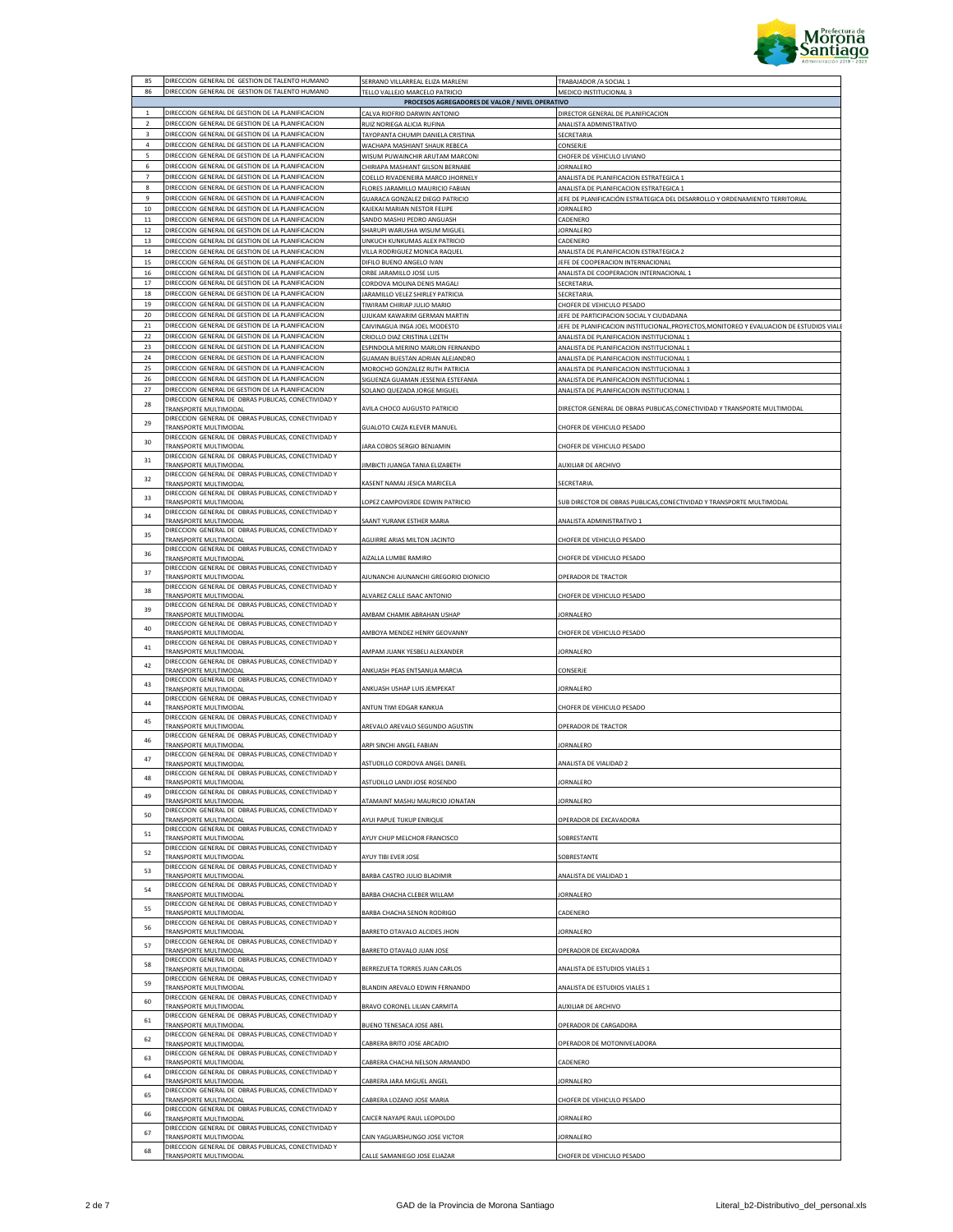

| 85             | DIRECCION GENERAL DE GESTION DE TALENTO HUMANO                                                       | SERRANO VILLARREAL ELIZA MARLENI                                 | TRABAJADOR / A SOCIAL 1                                                                  |
|----------------|------------------------------------------------------------------------------------------------------|------------------------------------------------------------------|------------------------------------------------------------------------------------------|
| 86             | DIRECCION GENERAL DE GESTION DE TALENTO HUMANO                                                       | TELLO VALLEJO MARCELO PATRICIO                                   | MEDICO INSTITUCIONAL 3                                                                   |
|                |                                                                                                      | PROCESOS AGREGADORES DE VALOR / NIVEL OPERATIVO                  |                                                                                          |
| $\mathbf{1}$   | DIRECCION GENERAL DE GESTION DE LA PLANIFICACION                                                     | CALVA RIOFRIO DARWIN ANTONIO                                     | DIRECTOR GENERAL DE PLANIFICACION                                                        |
| $\sqrt{2}$     | DIRECCION GENERAL DE GESTION DE LA PLANIFICACION                                                     | RUIZ NORIEGA ALICIA RUFINA                                       | ANALISTA ADMINISTRATIVO                                                                  |
| 3              | DIRECCION GENERAL DE GESTION DE LA PLANIFICACION                                                     | TAYOPANTA CHUMPI DANIELA CRISTINA                                | SECRETARIA                                                                               |
| $\Delta$       | DIRECCION GENERAL DE GESTION DE LA PLANIFICACION                                                     | WACHAPA MASHIANT SHAUK REBECA                                    | CONSERJE                                                                                 |
| 5              | DIRECCION GENERAL DE GESTION DE LA PLANIFICACION                                                     | WISUM PUWAINCHIR ARUTAM MARCONI                                  | CHOFER DE VEHICULO LIVIANO                                                               |
| 6              | DIRECCION GENERAL DE GESTION DE LA PLANIFICACION                                                     | CHIRIAPA MASHIANT GILSON BERNABE                                 | JORNALERO                                                                                |
| $\overline{7}$ | DIRECCION GENERAL DE GESTION DE LA PLANIFICACION                                                     | COELLO RIVADENEIRA MARCO JHORNELY                                | ANALISTA DE PLANIFICACION ESTRATEGICA 1                                                  |
| 8              | DIRECCION GENERAL DE GESTION DE LA PLANIFICACION                                                     | FLORES JARAMILLO MAURICIO FABIAN                                 | ANALISTA DE PLANIFICACION ESTRATEGICA 1                                                  |
| 9              | DIRECCION GENERAL DE GESTION DE LA PLANIFICACION                                                     | GUARACA GONZALEZ DIEGO PATRICIO                                  | JEFE DE PLANIFICACIÓN ESTRATEGICA DEL DESARROLLO Y ORDENAMIENTO TERRITORIAL              |
| 10<br>$11\,$   | DIRECCION GENERAL DE GESTION DE LA PLANIFICACION<br>DIRECCION GENERAL DE GESTION DE LA PLANIFICACION | KAJEKAI MARIAN NESTOR FELIPE<br>SANDO MASHU PEDRO ANGUASH        | <b>JORNALERO</b><br>CADENERO                                                             |
| 12             | DIRECCION GENERAL DE GESTION DE LA PLANIFICACION                                                     | SHARUPI WARUSHA WISUM MIGUEL                                     | ORNALERO                                                                                 |
| 13             | DIRECCION GENERAL DE GESTION DE LA PLANIFICACION                                                     | UNKUCH KUNKUMAS ALEX PATRICIO                                    | CADENERO                                                                                 |
| 14             | DIRECCION GENERAL DE GESTION DE LA PLANIFICACION                                                     | VILLA RODRIGUEZ MONICA RAQUEL                                    | ANALISTA DE PLANIFICACION ESTRATEGICA 2                                                  |
| 15             | DIRECCION GENERAL DE GESTION DE LA PLANIFICACION                                                     | DIFILO BUENO ANGELO IVAN                                         | JEFE DE COOPERACION INTERNACIONAL                                                        |
| 16             | DIRECCION GENERAL DE GESTION DE LA PLANIFICACION                                                     | ORBE JARAMILLO JOSE LUIS                                         | ANALISTA DE COOPERACION INTERNACIONAL 1                                                  |
| 17             | DIRECCION GENERAL DE GESTION DE LA PLANIFICACION                                                     | CORDOVA MOLINA DENIS MAGALI                                      | SECRETARIA.                                                                              |
| 18             | DIRECCION GENERAL DE GESTION DE LA PLANIFICACION                                                     | JARAMILLO VELEZ SHIRLEY PATRICIA                                 | <b>SECRETARIA</b>                                                                        |
| 19             | DIRECCION GENERAL DE GESTION DE LA PLANIFICACION                                                     | TIWIRAM CHIRIAP JULIO MARIO                                      | CHOFER DE VEHICULO PESADO                                                                |
| 20             | DIRECCION GENERAL DE GESTION DE LA PLANIFICACION                                                     | UJUKAM KAWARIM GERMAN MARTIN                                     | JEFE DE PARTICIPACION SOCIAL Y CIUDADANA                                                 |
| 21<br>22       | DIRECCION GENERAL DE GESTION DE LA PLANIFICACION<br>DIRECCION GENERAL DE GESTION DE LA PLANIFICACION | CAIVINAGUA INGA JOEL MODESTO                                     | JEFE DE PLANIFICACION INSTITUCIONAL, PROYECTOS, MONITOREO Y EVALUACION DE ESTUDIOS VIALE |
| 23             | DIRECCION GENERAL DE GESTION DE LA PLANIFICACION                                                     | CRIOLLO DIAZ CRISTINA LIZETH<br>ESPINDOLA MERINO MARLON FERNANDO | ANALISTA DE PLANIFICACION INSTITUCIONAL 1<br>ANALISTA DE PLANIFICACION INSTITUCIONAL 1   |
| 24             | DIRECCION GENERAL DE GESTION DE LA PLANIFICACION                                                     | GUAMAN BUESTAN ADRIAN ALEJANDRO                                  | ANALISTA DE PLANIFICACION INSTITUCIONAL 1                                                |
| 25             | DIRECCION GENERAL DE GESTION DE LA PLANIFICACION                                                     | MOROCHO GONZALEZ RUTH PATRICIA                                   | ANALISTA DE PLANIFICACION INSTITUCIONAL 3                                                |
| 26             | DIRECCION GENERAL DE GESTION DE LA PLANIFICACION                                                     | SIGUENZA GUAMAN JESSENIA ESTEFANIA                               | ANALISTA DE PLANIFICACION INSTITUCIONAL 1                                                |
| 27             | DIRECCION GENERAL DE GESTION DE LA PLANIFICACION                                                     | SOLANO QUEZADA JORGE MIGUEL                                      | ANALISTA DE PLANIFICACION INSTITUCIONAL 1                                                |
| 28             | DIRECCION GENERAL DE OBRAS PUBLICAS, CONECTIVIDAD Y                                                  |                                                                  |                                                                                          |
|                | TRANSPORTE MULTIMODAL                                                                                | AVILA CHOCO AUGUSTO PATRICIO                                     | DIRECTOR GENERAL DE OBRAS PUBLICAS, CONECTIVIDAD Y TRANSPORTE MULTIMODAL                 |
| 29             | DIRECCION GENERAL DE OBRAS PUBLICAS, CONECTIVIDAD Y<br>TRANSPORTE MULTIMODAL                         | GUALOTO CAIZA KLEVER MANUEL                                      | CHOFER DE VEHICULO PESADO                                                                |
|                | DIRECCION GENERAL DE OBRAS PUBLICAS, CONECTIVIDAD Y                                                  |                                                                  |                                                                                          |
| 30             | TRANSPORTE MULTIMODAL                                                                                | JARA COBOS SERGIO BENJAMIN                                       | CHOFER DE VEHICULO PESADO                                                                |
| 31             | DIRECCION GENERAL DE OBRAS PUBLICAS, CONECTIVIDAD Y                                                  |                                                                  |                                                                                          |
|                | TRANSPORTE MULTIMODAL<br>DIRECCION GENERAL DE OBRAS PUBLICAS, CONECTIVIDAD Y                         | JIMBICTI JUANGA TANIA ELIZABETH                                  | AUXILIAR DE ARCHIVO                                                                      |
| 32             | TRANSPORTE MULTIMODAL                                                                                | KASENT NAMAJ JESICA MARICELA                                     | <b>SECRETARIA</b>                                                                        |
| 33             | DIRECCION GENERAL DE OBRAS PUBLICAS, CONECTIVIDAD Y                                                  |                                                                  |                                                                                          |
|                | TRANSPORTE MULTIMODAL                                                                                | LOPEZ CAMPOVERDE EDWIN PATRICIO                                  | SUB DIRECTOR DE OBRAS PUBLICAS, CONECTIVIDAD Y TRANSPORTE MULTIMODAL                     |
| 34             | DIRECCION GENERAL DE OBRAS PUBLICAS, CONECTIVIDAD Y<br>TRANSPORTE MULTIMODAL                         | SAANT YURANK ESTHER MARIA                                        | ANALISTA ADMINISTRATIVO 1                                                                |
| 35             | DIRECCION GENERAL DE OBRAS PUBLICAS, CONECTIVIDAD Y                                                  |                                                                  |                                                                                          |
|                | TRANSPORTE MULTIMODAL                                                                                | AGUIRRE ARIAS MILTON JACINTO                                     | CHOFER DE VEHICULO PESADO                                                                |
| 36             | DIRECCION GENERAL DE OBRAS PUBLICAS, CONECTIVIDAD Y<br>TRANSPORTE MULTIMODAL                         | AIZALLA LUMBE RAMIRO                                             | CHOFER DE VEHICULO PESADO                                                                |
| 37             | DIRECCION GENERAL DE OBRAS PUBLICAS, CONECTIVIDAD Y                                                  |                                                                  |                                                                                          |
|                | TRANSPORTE MULTIMODAL                                                                                | AJUNANCHI AJUNANCHI GREGORIO DIONICIO                            | OPERADOR DE TRACTOR                                                                      |
| 38             | DIRECCION GENERAL DE OBRAS PUBLICAS, CONECTIVIDAD Y<br>TRANSPORTE MULTIMODAL                         | ALVAREZ CALLE ISAAC ANTONIO                                      | CHOFER DE VEHICULO PESADO                                                                |
| 39             | DIRECCION GENERAL DE OBRAS PUBLICAS, CONECTIVIDAD Y                                                  |                                                                  |                                                                                          |
|                | TRANSPORTE MULTIMODAL<br>DIRECCION GENERAL DE OBRAS PUBLICAS, CONECTIVIDAD Y                         | AMBAM CHAMIK ABRAHAN USHAP                                       | <b>JORNALERO</b>                                                                         |
| 40             |                                                                                                      |                                                                  |                                                                                          |
|                | TRANSPORTE MULTIMODAL                                                                                | AMBOYA MENDEZ HENRY GEOVANNY                                     | CHOFER DE VEHICULO PESADO                                                                |
| 41             | DIRECCION GENERAL DE OBRAS PUBLICAS, CONECTIVIDAD Y                                                  |                                                                  |                                                                                          |
|                | TRANSPORTE MULTIMODAL                                                                                | AMPAM JUANK YESBELI ALEXANDER                                    | <b>JORNALERO</b>                                                                         |
| 42             | DIRECCION GENERAL DE OBRAS PUBLICAS, CONECTIVIDAD Y<br>TRANSPORTE MULTIMODAL                         | ANKUASH PEAS ENTSANUA MARCIA                                     | CONSERJE                                                                                 |
| 43             | DIRECCION GENERAL DE OBRAS PUBLICAS, CONECTIVIDAD Y                                                  |                                                                  |                                                                                          |
|                | TRANSPORTE MULTIMODAL                                                                                | ANKUASH USHAP LUIS JEMPEKAT                                      | <b>JORNALERO</b>                                                                         |
| 44             | DIRECCION GENERAL DE OBRAS PUBLICAS, CONECTIVIDAD Y<br>TRANSPORTE MULTIMODAL                         | ANTUN TIWI EDGAR KANKUA                                          | CHOFER DE VEHICULO PESADO                                                                |
| 45             | DIRECCION GENERAL DE OBRAS PUBLICAS, CONECTIVIDAD Y                                                  |                                                                  |                                                                                          |
|                | TRANSPORTE MULTIMODAL                                                                                | AREVALO AREVALO SEGUNDO AGUSTIN                                  | OPERADOR DE TRACTOR                                                                      |
| 46             | DIRECCION GENERAL DE OBRAS PUBLICAS, CONECTIVIDAD Y<br>TRANSPORTE MULTIMODAL                         | ARPI SINCHI ANGEL FABIAN                                         | <b>IORNAL FRO</b>                                                                        |
| 47             | DIRECCION GENERAL DE OBRAS PUBLICAS, CONECTIVIDAD Y                                                  |                                                                  |                                                                                          |
|                | TRANSPORTE MULTIMODAL                                                                                | ASTUDILLO CORDOVA ANGEL DANIEL                                   | ANALISTA DE VIALIDAD 2                                                                   |
| 48             | DIRECCION GENERAL DE OBRAS PUBLICAS, CONECTIVIDAD Y<br>TRANSPORTE MULTIMODAL                         | ASTUDILLO LANDI JOSE ROSENDO                                     | ORNALERO                                                                                 |
| 49             | DIRECCION GENERAL DE OBRAS PUBLICAS, CONECTIVIDAD Y                                                  |                                                                  |                                                                                          |
|                | TRANSPORTE MULTIMODAL<br>DIRECCION GENERAL DE OBRAS PUBLICAS, CONECTIVIDAD Y                         | ATAMAINT MASHU MAURICIO JONATAN                                  | <b>JORNALERO</b>                                                                         |
| 50             | TRANSPORTE MULTIMODAL                                                                                | AYUI PAPUE TUKUP ENRIQUE                                         | OPERADOR DE EXCAVADORA                                                                   |
| 51             | DIRECCION GENERAL DE OBRAS PUBLICAS, CONECTIVIDAD Y                                                  |                                                                  |                                                                                          |
|                | TRANSPORTE MULTIMODAL                                                                                | AYUY CHUP MELCHOR FRANCISCO                                      | SOBRESTANTE                                                                              |
| 52             | DIRECCION GENERAL DE OBRAS PUBLICAS, CONECTIVIDAD Y<br>TRANSPORTE MULTIMODAL                         | AYUY TIBI EVER JOSE                                              | OBRESTANTE                                                                               |
| 53             | DIRECCION GENERAL DE OBRAS PUBLICAS, CONECTIVIDAD Y                                                  |                                                                  |                                                                                          |
|                | TRANSPORTE MULTIMODAL                                                                                | BARBA CASTRO JULIO BLADIMIR                                      | ANALISTA DE VIALIDAD 1                                                                   |
| 54             | DIRECCION GENERAL DE OBRAS PUBLICAS, CONECTIVIDAD Y<br>TRANSPORTE MULTIMODAL                         | BARBA CHACHA CLEBER WILLAM                                       | ORNALERO                                                                                 |
| 55             | DIRECCION GENERAL DE OBRAS PUBLICAS, CONECTIVIDAD Y                                                  |                                                                  |                                                                                          |
|                | TRANSPORTE MULTIMODAL                                                                                | BARBA CHACHA SENON RODRIGO                                       | CADENERO                                                                                 |
| 56             | DIRECCION GENERAL DE OBRAS PUBLICAS, CONECTIVIDAD Y<br>TRANSPORTE MULTIMODAL                         | BARRETO OTAVALO ALCIDES JHON                                     | ORNALERO                                                                                 |
|                | DIRECCION GENERAL DE OBRAS PUBLICAS, CONECTIVIDAD Y                                                  |                                                                  |                                                                                          |
| 57             | TRANSPORTE MULTIMODAL                                                                                | BARRETO OTAVALO JUAN JOSE                                        | OPERADOR DE EXCAVADORA                                                                   |
| 58             | DIRECCION GENERAL DE OBRAS PUBLICAS, CONECTIVIDAD Y<br>TRANSPORTE MULTIMODAL                         | BERREZUETA TORRES JUAN CARLOS                                    | ANALISTA DE ESTUDIOS VIALES 1                                                            |
|                | DIRECCION GENERAL DE OBRAS PUBLICAS, CONECTIVIDAD Y                                                  |                                                                  |                                                                                          |
| 59             | TRANSPORTE MULTIMODAL                                                                                | BLANDIN AREVALO EDWIN FERNANDO                                   | ANALISTA DE ESTUDIOS VIALES 1                                                            |
| 60             | DIRECCION GENERAL DE OBRAS PUBLICAS, CONECTIVIDAD Y<br>TRANSPORTE MULTIMODAL                         | BRAVO CORONEL LILIAN CARMITA                                     | AUXILIAR DE ARCHIVO                                                                      |
|                | DIRECCION GENERAL DE OBRAS PUBLICAS, CONECTIVIDAD Y                                                  |                                                                  |                                                                                          |
| 61             | TRANSPORTE MULTIMODAL                                                                                | BUENO TENESACA JOSE ABEL                                         | OPERADOR DE CARGADORA                                                                    |
| 62             | DIRECCION GENERAL DE OBRAS PUBLICAS, CONECTIVIDAD Y                                                  |                                                                  |                                                                                          |
|                | TRANSPORTE MULTIMODAL<br>DIRECCION GENERAL DE OBRAS PUBLICAS, CONECTIVIDAD Y                         | CABRERA BRITO JOSE ARCADIO                                       | OPERADOR DE MOTONIVELADORA                                                               |
| 63             | TRANSPORTE MULTIMODAL                                                                                | CABRERA CHACHA NELSON ARMANDO                                    | <b>ADENERO</b>                                                                           |
| 64             | DIRECCION GENERAL DE OBRAS PUBLICAS, CONECTIVIDAD Y                                                  |                                                                  |                                                                                          |
|                | TRANSPORTE MULTIMODAL<br>DIRECCION GENERAL DE OBRAS PUBLICAS, CONECTIVIDAD Y                         | CABRERA JARA MIGUEL ANGEL                                        | ORNALERO                                                                                 |
| 65             | TRANSPORTE MULTIMODAL                                                                                | CABRERA LOZANO JOSE MARIA                                        | HOFER DE VEHICULO PESADO                                                                 |
| 66             | DIRECCION GENERAL DE OBRAS PUBLICAS, CONECTIVIDAD Y                                                  |                                                                  |                                                                                          |
|                | TRANSPORTE MULTIMODAL<br>DIRECCION GENERAL DE OBRAS PUBLICAS, CONECTIVIDAD Y                         | CAICER NAYAPE RAUL LEOPOLDO                                      | ORNALERO                                                                                 |
| 67             | TRANSPORTE MULTIMODAL                                                                                | CAIN YAGUARSHUNGO JOSE VICTOR                                    | ORNALERO                                                                                 |
| 68             | DIRECCION GENERAL DE OBRAS PUBLICAS, CONECTIVIDAD Y<br>TRANSPORTE MULTIMODAL                         | CALLE SAMANIEGO JOSE ELIAZAR                                     | CHOFER DE VEHICULO PESADO                                                                |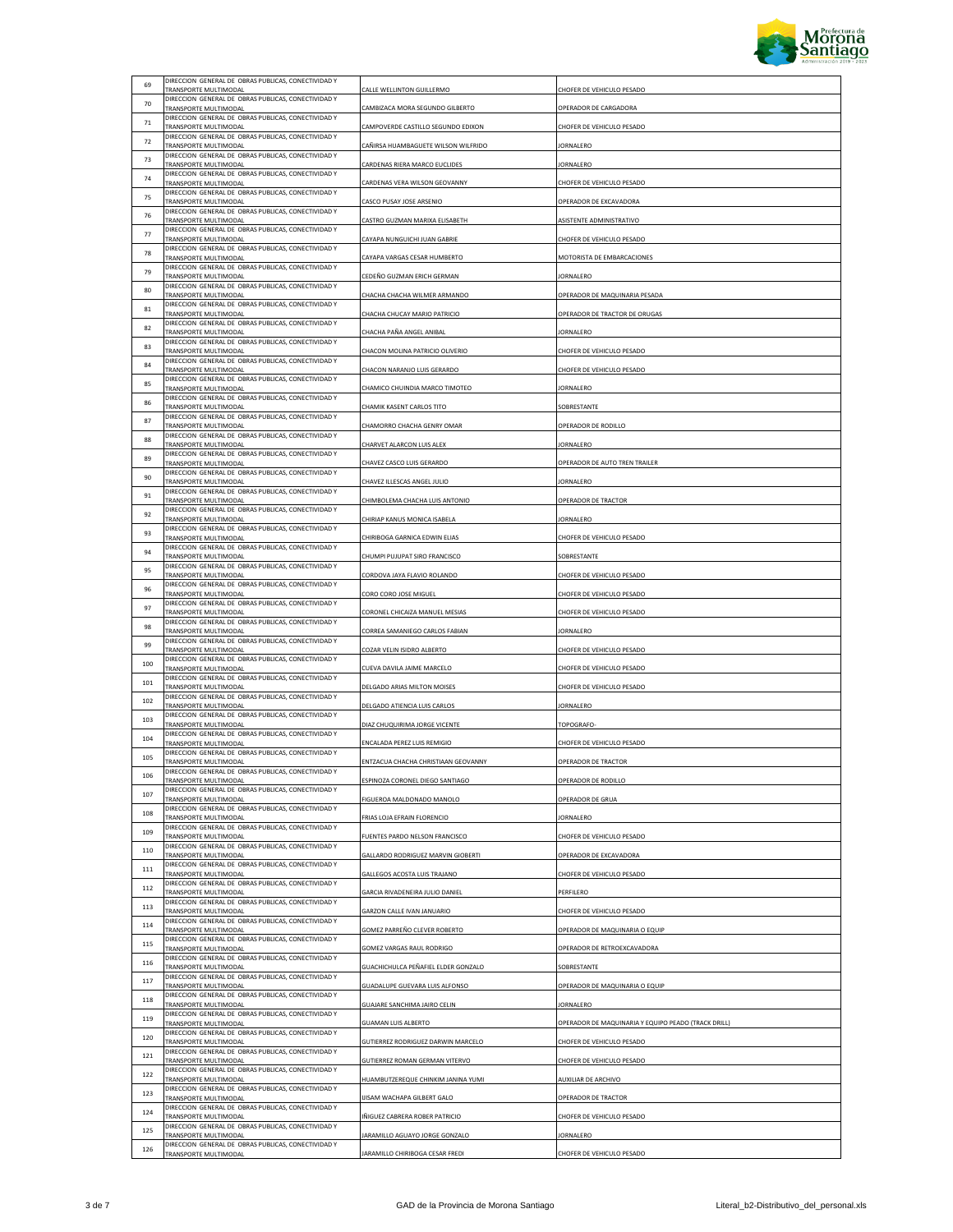

| 69  | DIRECCION GENERAL DE OBRAS PUBLICAS, CONECTIVIDAD Y<br>TRANSPORTE MULTIMODAL                                                        | CALLE WELLINTON GUILLERMO           | CHOFER DE VEHICULO PESADO                           |
|-----|-------------------------------------------------------------------------------------------------------------------------------------|-------------------------------------|-----------------------------------------------------|
| 70  | DIRECCION GENERAL DE OBRAS PUBLICAS, CONECTIVIDAD Y<br>TRANSPORTE MULTIMODAL                                                        | CAMBIZACA MORA SEGUNDO GILBERTO     | OPERADOR DE CARGADORA                               |
| 71  | DIRECCION GENERAL DE OBRAS PUBLICAS, CONECTIVIDAD Y<br>TRANSPORTE MULTIMODAL                                                        | CAMPOVERDE CASTILLO SEGUNDO EDIXON  | CHOFER DE VEHICULO PESADO                           |
| 72  | DIRECCION GENERAL DE OBRAS PUBLICAS, CONECTIVIDAD Y<br>TRANSPORTE MULTIMODAL                                                        | CAÑIRSA HUAMBAGUETE WILSON WILFRIDO | JORNALERO                                           |
| 73  | DIRECCION GENERAL DE OBRAS PUBLICAS, CONECTIVIDAD Y<br>TRANSPORTE MULTIMODAL                                                        | CARDENAS RIERA MARCO EUCLIDES       | <b>JORNALERO</b>                                    |
| 74  | DIRECCION GENERAL DE OBRAS PUBLICAS, CONECTIVIDAD Y<br>TRANSPORTE MULTIMODAL                                                        | CARDENAS VERA WILSON GEOVANNY       | CHOFER DE VEHICULO PESADO                           |
| 75  | DIRECCION GENERAL DE OBRAS PUBLICAS, CONECTIVIDAD Y                                                                                 |                                     |                                                     |
| 76  | TRANSPORTE MULTIMODAL<br>DIRECCION GENERAL DE OBRAS PUBLICAS, CONECTIVIDAD Y                                                        | CASCO PUSAY JOSE ARSENIO            | OPERADOR DE EXCAVADORA                              |
| 77  | TRANSPORTE MULTIMODAL<br>DIRECCION GENERAL DE OBRAS PUBLICAS, CONECTIVIDAD Y                                                        | CASTRO GUZMAN MARIXA ELISABETH      | ASISTENTE ADMINISTRATIVO                            |
| 78  | TRANSPORTE MULTIMODAL<br>DIRECCION GENERAL DE OBRAS PUBLICAS, CONECTIVIDAD Y                                                        | CAYAPA NUNGUICHI JUAN GABRIE        | CHOFER DE VEHICULO PESADO                           |
| 79  | TRANSPORTE MULTIMODAL<br>DIRECCION GENERAL DE OBRAS PUBLICAS, CONECTIVIDAD Y                                                        | CAYAPA VARGAS CESAR HUMBERTO        | MOTORISTA DE EMBARCACIONES                          |
| 80  | TRANSPORTE MULTIMODAL<br>DIRECCION GENERAL DE OBRAS PUBLICAS, CONECTIVIDAD Y                                                        | CEDEÑO GUZMAN ERICH GERMAN          | JORNALERO                                           |
| 81  | TRANSPORTE MULTIMODAL<br>DIRECCION GENERAL DE OBRAS PUBLICAS, CONECTIVIDAD Y                                                        | CHACHA CHACHA WILMER ARMANDO        | OPERADOR DE MAQUINARIA PESADA                       |
|     | TRANSPORTE MULTIMODAL<br>DIRECCION GENERAL DE OBRAS PUBLICAS, CONECTIVIDAD Y                                                        | CHACHA CHUCAY MARIO PATRICIO        | OPERADOR DE TRACTOR DE ORUGAS                       |
| 82  | TRANSPORTE MULTIMODAL<br>DIRECCION GENERAL DE OBRAS PUBLICAS, CONECTIVIDAD Y                                                        | CHACHA PAÑA ANGEL ANIBAL            | JORNALERO                                           |
| 83  | TRANSPORTE MULTIMODAL<br>DIRECCION GENERAL DE OBRAS PUBLICAS, CONECTIVIDAD Y                                                        | CHACON MOLINA PATRICIO OLIVERIO     | CHOFER DE VEHICULO PESADO                           |
| 84  | TRANSPORTE MULTIMODAL<br>DIRECCION GENERAL DE OBRAS PUBLICAS, CONECTIVIDAD Y                                                        | CHACON NARANJO LUIS GERARDO         | CHOFER DE VEHICULO PESADO                           |
| 85  | TRANSPORTE MULTIMODAL<br>DIRECCION GENERAL DE OBRAS PUBLICAS, CONECTIVIDAD Y                                                        | CHAMICO CHUINDIA MARCO TIMOTEO      | JORNALERO                                           |
| 86  | TRANSPORTE MULTIMODAL<br>DIRECCION GENERAL DE OBRAS PUBLICAS, CONECTIVIDAD Y                                                        | CHAMIK KASENT CARLOS TITO           | SOBRESTANTE                                         |
| 87  | TRANSPORTE MULTIMODAL                                                                                                               | CHAMORRO CHACHA GENRY OMAR          | OPERADOR DE RODILLO                                 |
| 88  | DIRECCION GENERAL DE OBRAS PUBLICAS, CONECTIVIDAD Y<br>TRANSPORTE MULTIMODAL                                                        | CHARVET ALARCON LUIS ALEX           | JORNALERO                                           |
| 89  | DIRECCION GENERAL DE OBRAS PUBLICAS, CONECTIVIDAD Y<br>TRANSPORTE MULTIMODAL                                                        | CHAVEZ CASCO LUIS GERARDO           | OPERADOR DE AUTO TREN TRAILER                       |
| 90  | DIRECCION GENERAL DE OBRAS PUBLICAS, CONECTIVIDAD Y<br>TRANSPORTE MULTIMODAL                                                        | CHAVEZ ILLESCAS ANGEL JULIO         | <b>JORNALERO</b>                                    |
| 91  | DIRECCION GENERAL DE OBRAS PUBLICAS, CONECTIVIDAD Y<br>TRANSPORTE MULTIMODAL                                                        | CHIMBOLEMA CHACHA LUIS ANTONIO      | OPERADOR DE TRACTOR                                 |
| 92  | DIRECCION GENERAL DE OBRAS PUBLICAS, CONECTIVIDAD Y<br>TRANSPORTE MULTIMODAL                                                        | CHIRIAP KANUS MONICA ISABELA        | JORNALERO                                           |
| 93  | DIRECCION GENERAL DE OBRAS PUBLICAS, CONECTIVIDAD Y<br>TRANSPORTE MULTIMODAL                                                        | CHIRIBOGA GARNICA EDWIN ELIAS       | CHOFER DE VEHICULO PESADO                           |
| 94  | DIRECCION GENERAL DE OBRAS PUBLICAS, CONECTIVIDAD Y<br>TRANSPORTE MULTIMODAL                                                        | CHUMPI PUJUPAT SIRO FRANCISCO       | SOBRESTANTE                                         |
| 95  | DIRECCION GENERAL DE OBRAS PUBLICAS, CONECTIVIDAD Y<br>TRANSPORTE MULTIMODAL                                                        | CORDOVA JAYA FLAVIO ROLANDO         | CHOFER DE VEHICULO PESADO                           |
| 96  | DIRECCION GENERAL DE OBRAS PUBLICAS, CONECTIVIDAD Y<br>TRANSPORTE MULTIMODAL                                                        | CORO CORO JOSE MIGUEL               | CHOFER DE VEHICULO PESADO                           |
| 97  | DIRECCION GENERAL DE OBRAS PUBLICAS, CONECTIVIDAD Y<br>TRANSPORTE MULTIMODAL                                                        | CORONEL CHICAIZA MANUEL MESIAS      | CHOFER DE VEHICULO PESADO                           |
|     | DIRECCION GENERAL DE OBRAS PUBLICAS, CONECTIVIDAD Y                                                                                 |                                     |                                                     |
| 98  | TRANSPORTE MULTIMODAL                                                                                                               | CORREA SAMANIEGO CARLOS FABIAN      | JORNALERO                                           |
| 99  | DIRECCION GENERAL DE OBRAS PUBLICAS, CONECTIVIDAD Y<br>TRANSPORTE MULTIMODAL                                                        | COZAR VELIN ISIDRO ALBERTO          | CHOFER DE VEHICULO PESADO                           |
| 100 | DIRECCION GENERAL DE OBRAS PUBLICAS, CONECTIVIDAD Y<br>TRANSPORTE MULTIMODAL                                                        | CUEVA DAVILA JAIME MARCELO          | CHOFER DE VEHICULO PESADO                           |
| 101 | DIRECCION GENERAL DE OBRAS PUBLICAS, CONECTIVIDAD Y<br>TRANSPORTE MULTIMODAL                                                        | DELGADO ARIAS MILTON MOISES         | CHOFER DE VEHICULO PESADO                           |
| 102 | DIRECCION GENERAL DE OBRAS PUBLICAS, CONECTIVIDAD Y<br>TRANSPORTE MULTIMODAL                                                        | DELGADO ATIENCIA LUIS CARLOS        | JORNALERO                                           |
| 103 | DIRECCION GENERAL DE OBRAS PUBLICAS, CONECTIVIDAD Y<br>TRANSPORTE MULTIMODAL                                                        | DIAZ CHUQUIRIMA JORGE VICENTE       | TOPOGRAFO-                                          |
| 104 | DIRECCION GENERAL DE OBRAS PUBLICAS, CONECTIVIDAD Y<br>TRANSPORTE MULTIMODAL                                                        | ENCALADA PEREZ LUIS REMIGIO         | CHOFER DE VEHICULO PESADO                           |
| 105 | DIRECCION GENERAL DE OBRAS PUBLICAS, CONECTIVIDAD Y<br>TRANSPORTE MULTIMODAL                                                        | ENTZACUA CHACHA CHRISTIAAN GEOVANNY | OPERADOR DE TRACTOR                                 |
| 106 | DIRECCION GENERAL DE OBRAS PUBLICAS, CONECTIVIDAD Y<br>TRANSPORTE MULTIMODAL                                                        | ESPINOZA CORONEL DIEGO SANTIAGO     | OPERADOR DE RODILLO                                 |
| 107 | DIRECCION GENERAL DE OBRAS PUBLICAS, CONECTIVIDAD Y<br>TRANSPORTE MULTIMODAL                                                        | FIGUEROA MALDONADO MANOLO           | OPERADOR DE GRUA                                    |
| 108 | DIRECCION GENERAL DE OBRAS PUBLICAS, CONECTIVIDAD Y<br>TRANSPORTE MULTIMODAL                                                        | FRIAS LOJA EFRAIN FLORENCIO         | JORNALERO                                           |
| 109 | DIRECCION GENERAL DE OBRAS PUBLICAS, CONECTIVIDAD Y<br>TRANSPORTE MULTIMODAL                                                        | FUENTES PARDO NELSON FRANCISCO      | CHOFER DE VEHICULO PESADO                           |
| 110 | DIRECCION GENERAL DE OBRAS PUBLICAS, CONECTIVIDAD Y<br>TRANSPORTE MULTIMODAL                                                        | GALLARDO RODRIGUEZ MARVIN GIOBERTI  | OPERADOR DE EXCAVADORA                              |
| 111 | DIRECCION GENERAL DE OBRAS PUBLICAS, CONECTIVIDAD Y<br>TRANSPORTE MULTIMODAL                                                        | GALLEGOS ACOSTA LUIS TRAJANO        | CHOFER DE VEHICULO PESADO                           |
| 112 | DIRECCION GENERAL DE OBRAS PUBLICAS, CONECTIVIDAD Y<br>TRANSPORTE MULTIMODAL                                                        | GARCIA RIVADENEIRA JULIO DANIEL     | PERFILERO                                           |
| 113 | DIRECCION GENERAL DE OBRAS PUBLICAS, CONECTIVIDAD Y<br>TRANSPORTE MULTIMODAL                                                        | GARZON CALLE IVAN JANUARIO          | CHOFER DE VEHICULO PESADO                           |
| 114 | DIRECCION GENERAL DE OBRAS PUBLICAS, CONECTIVIDAD Y<br>TRANSPORTE MULTIMODAL                                                        | GOMEZ PARREÑO CLEVER ROBERTO        | OPERADOR DE MAQUINARIA O EQUIP                      |
| 115 | DIRECCION GENERAL DE OBRAS PUBLICAS, CONECTIVIDAD Y<br>TRANSPORTE MULTIMODAL                                                        | GOMEZ VARGAS RAUL RODRIGO           | OPERADOR DE RETROEXCAVADORA                         |
| 116 | DIRECCION GENERAL DE OBRAS PUBLICAS, CONECTIVIDAD Y<br>TRANSPORTE MULTIMODAL                                                        | GUACHICHULCA PEÑAFIEL ELDER GONZALO | SOBRESTANTE                                         |
| 117 | DIRECCION GENERAL DE OBRAS PUBLICAS, CONECTIVIDAD Y<br>TRANSPORTE MULTIMODAL                                                        | GUADALUPE GUEVARA LUIS ALFONSO      | OPERADOR DE MAQUINARIA O EQUIP                      |
| 118 | DIRECCION GENERAL DE OBRAS PUBLICAS, CONECTIVIDAD Y<br>TRANSPORTE MULTIMODAL                                                        | GUAJARE SANCHIMA JAIRO CELIN        | JORNALERO                                           |
| 119 | DIRECCION GENERAL DE OBRAS PUBLICAS, CONECTIVIDAD Y<br>TRANSPORTE MULTIMODAL                                                        | <b>GUAMAN LUIS ALBERTO</b>          | OPERADOR DE MAQUINARIA Y EQUIPO PEADO (TRACK DRILL) |
| 120 | DIRECCION GENERAL DE OBRAS PUBLICAS, CONECTIVIDAD Y<br>TRANSPORTE MULTIMODAL                                                        | GUTIERREZ RODRIGUEZ DARWIN MARCELO  | CHOFER DE VEHICULO PESADO                           |
| 121 | DIRECCION GENERAL DE OBRAS PUBLICAS, CONECTIVIDAD Y<br>TRANSPORTE MULTIMODAL                                                        | GUTIERREZ ROMAN GERMAN VITERVO      | CHOFER DE VEHICULO PESADO                           |
| 122 | DIRECCION GENERAL DE OBRAS PUBLICAS, CONECTIVIDAD Y<br>TRANSPORTE MULTIMODAL                                                        | HUAMBUTZEREQUE CHINKIM JANINA YUMI  | AUXILIAR DE ARCHIVO                                 |
| 123 | DIRECCION GENERAL DE OBRAS PUBLICAS, CONECTIVIDAD Y<br>TRANSPORTE MULTIMODAL                                                        | IJISAM WACHAPA GILBERT GALO         | OPERADOR DE TRACTOR                                 |
| 124 | DIRECCION GENERAL DE OBRAS PUBLICAS, CONECTIVIDAD Y<br>TRANSPORTE MULTIMODAL                                                        | IÑIGUEZ CABRERA ROBER PATRICIO      | CHOFER DE VEHICULO PESADO                           |
| 125 | DIRECCION GENERAL DE OBRAS PUBLICAS, CONECTIVIDAD Y<br>TRANSPORTE MULTIMODAL<br>DIRECCION GENERAL DE OBRAS PUBLICAS, CONECTIVIDAD Y | JARAMILLO AGUAYO JORGE GONZALO      | <b>JORNALERO</b>                                    |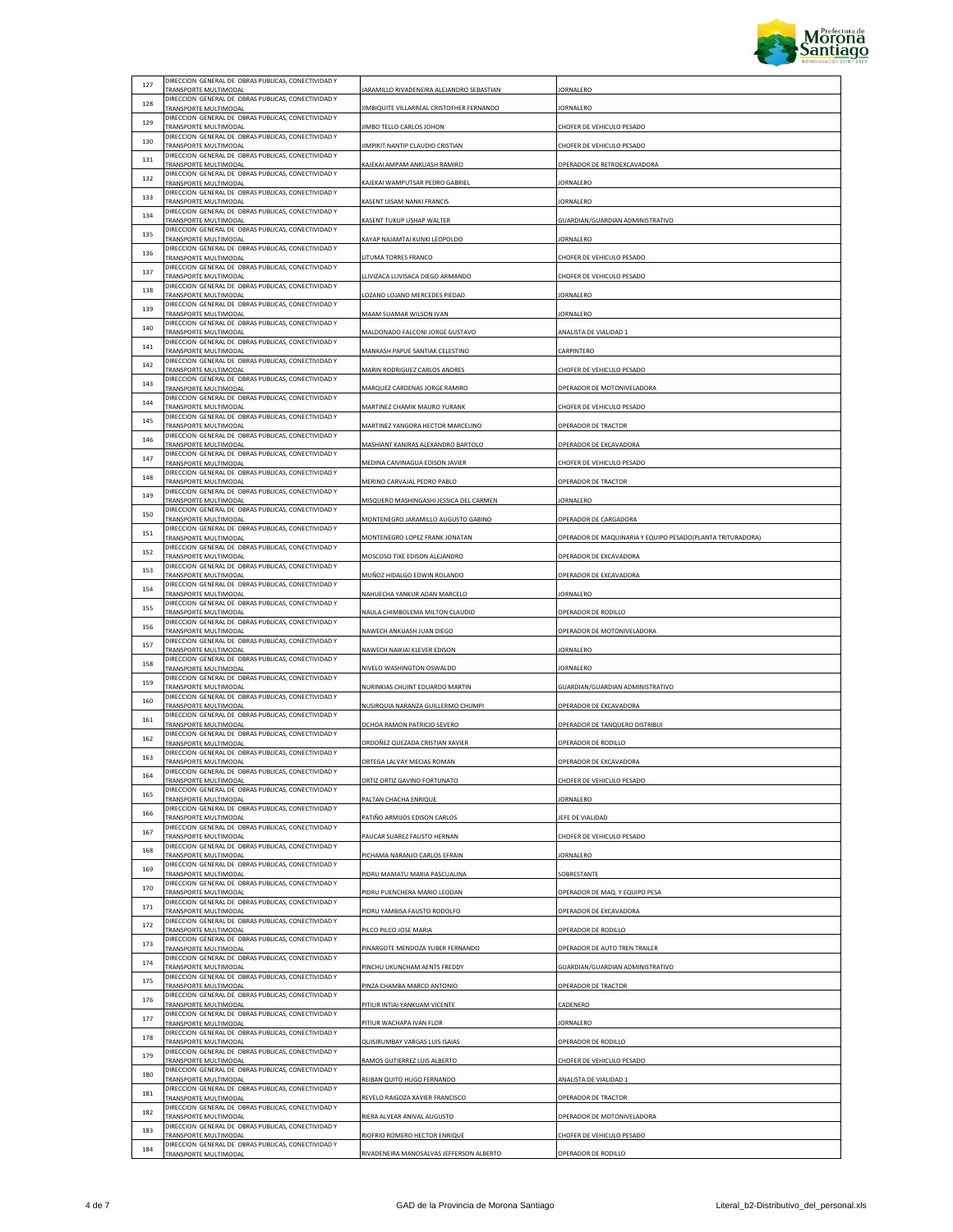

|     | DIRECCION GENERAL DE OBRAS PUBLICAS, CONECTIVIDAD Y                                                   |                                                                           |                                                            |
|-----|-------------------------------------------------------------------------------------------------------|---------------------------------------------------------------------------|------------------------------------------------------------|
| 127 | TRANSPORTE MULTIMODAL                                                                                 | ARAMILLO RIVADENEIRA ALEJANDRO SEBASTIAN                                  | <b>JORNALERO</b>                                           |
| 128 | DIRECCION GENERAL DE OBRAS PUBLICAS, CONECTIVIDAD Y<br>TRANSPORTE MULTIMODAL                          | IIMBIQUITE VILLARREAL CRISTOFHER FERNANDO                                 | <b>JORNALERO</b>                                           |
| 129 | DIRECCION GENERAL DE OBRAS PUBLICAS, CONECTIVIDAD Y<br>TRANSPORTE MULTIMODAL                          | JIMBO TELLO CARLOS JOHON                                                  | CHOFER DE VEHICULO PESADO                                  |
| 130 | DIRECCION GENERAL DE OBRAS PUBLICAS, CONECTIVIDAD Y                                                   |                                                                           |                                                            |
|     | TRANSPORTE MULTIMODAL<br>DIRECCION GENERAL DE OBRAS PUBLICAS, CONECTIVIDAD Y                          | JIMPIKIT NANTIP CLAUDIO CRISTIAN                                          | CHOFER DE VEHICULO PESADO                                  |
| 131 | TRANSPORTE MULTIMODAL<br>DIRECCION GENERAL DE OBRAS PUBLICAS, CONECTIVIDAD Y                          | KAJEKAI AMPAM ANKUASH RAMIRO                                              | OPERADOR DE RETROEXCAVADORA                                |
| 132 | TRANSPORTE MULTIMODAL                                                                                 | KAJEKAI WAMPUTSAR PEDRO GABRIEL                                           | <b>JORNALERO</b>                                           |
| 133 | DIRECCION GENERAL DE OBRAS PUBLICAS, CONECTIVIDAD Y<br>TRANSPORTE MULTIMODAL                          | KASENT IJISAM NANKI FRANCIS                                               | JORNALERO                                                  |
| 134 | DIRECCION GENERAL DE OBRAS PUBLICAS, CONECTIVIDAD Y<br>TRANSPORTE MULTIMODAL                          | KASENT TUKUP USHAP WALTER                                                 | GUARDIAN/GUARDIAN ADMINISTRATIVO                           |
| 135 | DIRECCION GENERAL DE OBRAS PUBLICAS, CONECTIVIDAD Y                                                   |                                                                           |                                                            |
| 136 | TRANSPORTE MULTIMODAL<br>DIRECCION GENERAL DE OBRAS PUBLICAS, CONECTIVIDAD Y                          | KAYAP NAJAMTAI KUNKI LEOPOLDO                                             | JORNALERO                                                  |
|     | TRANSPORTE MULTIMODAL<br>DIRECCION GENERAL DE OBRAS PUBLICAS, CONECTIVIDAD Y                          | LITUMA TORRES FRANCO                                                      | CHOFER DE VEHICULO PESADO                                  |
| 137 | TRANSPORTE MULTIMODAL<br>DIRECCION GENERAL DE OBRAS PUBLICAS, CONECTIVIDAD Y                          | LLIVIZACA LLIVISACA DIEGO ARMANDO                                         | CHOFER DE VEHICULO PESADO                                  |
| 138 | TRANSPORTE MULTIMODAL                                                                                 | LOZANO LOJANO MERCEDES PIEDAD                                             | JORNALERO                                                  |
| 139 | DIRECCION GENERAL DE OBRAS PUBLICAS, CONECTIVIDAD Y<br>TRANSPORTE MULTIMODAL                          | MAAM SUAMAR WILSON IVAN                                                   | JORNALERO                                                  |
| 140 | DIRECCION GENERAL DE OBRAS PUBLICAS, CONECTIVIDAD Y<br>TRANSPORTE MULTIMODAL                          | MALDONADO FALCONI JORGE GUSTAVO                                           | ANALISTA DE VIALIDAD 1                                     |
| 141 | DIRECCION GENERAL DE OBRAS PUBLICAS, CONECTIVIDAD Y                                                   |                                                                           |                                                            |
| 142 | TRANSPORTE MULTIMODAL<br>DIRECCION GENERAL DE OBRAS PUBLICAS, CONECTIVIDAD Y                          | MANKASH PAPUE SANTIAK CELESTINO                                           | CARPINTERO                                                 |
| 143 | TRANSPORTE MULTIMODAL<br>DIRECCION GENERAL DE OBRAS PUBLICAS, CONECTIVIDAD Y                          | MARIN RODRIGUEZ CARLOS ANDRES                                             | CHOFER DE VEHICULO PESADO                                  |
|     | TRANSPORTE MULTIMODAL<br>DIRECCION GENERAL DE OBRAS PUBLICAS, CONECTIVIDAD Y                          | MARQUEZ CARDENAS JORGE RAMIRO                                             | OPERADOR DE MOTONIVELADORA                                 |
| 144 | TRANSPORTE MULTIMODAL<br>DIRECCION GENERAL DE OBRAS PUBLICAS, CONECTIVIDAD Y                          | MARTINEZ CHAMIK MAURO YURANK                                              | CHOFER DE VEHICULO PESADO                                  |
| 145 | TRANSPORTE MULTIMODAL                                                                                 | MARTINEZ YANGORA HECTOR MARCELINO                                         | OPERADOR DE TRACTOR                                        |
| 146 | DIRECCION GENERAL DE OBRAS PUBLICAS, CONECTIVIDAD Y<br>TRANSPORTE MULTIMODAL                          | MASHIANT KANIRAS ALEXANDRO BARTOLO                                        | OPERADOR DE EXCAVADORA                                     |
| 147 | DIRECCION GENERAL DE OBRAS PUBLICAS, CONECTIVIDAD Y<br>TRANSPORTE MULTIMODAL                          | MEDINA CAIVINAGUA EDISON JAVIER                                           | CHOFER DE VEHICULO PESADO                                  |
| 148 | DIRECCION GENERAL DE OBRAS PUBLICAS, CONECTIVIDAD Y<br>TRANSPORTE MULTIMODAL                          | MERINO CARVAJAL PEDRO PABLO                                               | OPERADOR DE TRACTOR                                        |
| 149 | DIRECCION GENERAL DE OBRAS PUBLICAS, CONECTIVIDAD Y                                                   |                                                                           |                                                            |
| 150 | TRANSPORTE MULTIMODAL<br>DIRECCION GENERAL DE OBRAS PUBLICAS, CONECTIVIDAD Y                          | MISQUERO MASHINGASHI JESSICA DEL CARMEN                                   | JORNALERO                                                  |
|     | TRANSPORTE MULTIMODAL<br>DIRECCION GENERAL DE OBRAS PUBLICAS, CONECTIVIDAD Y                          | MONTENEGRO JARAMILLO AUGUSTO GABINO                                       | OPERADOR DE CARGADORA                                      |
| 151 | TRANSPORTE MULTIMODAL<br>DIRECCION GENERAL DE OBRAS PUBLICAS, CONECTIVIDAD Y                          | MONTENEGRO LOPEZ FRANK JONATAN                                            | OPERADOR DE MAQUINARIA Y EQUIPO PESADO(PLANTA TRITURADORA) |
| 152 | TRANSPORTE MULTIMODAL<br>DIRECCION GENERAL DE OBRAS PUBLICAS, CONECTIVIDAD Y                          | MOSCOSO TIXE EDISON ALEJANDRO                                             | OPERADOR DE EXCAVADORA                                     |
| 153 | TRANSPORTE MULTIMODAL                                                                                 | MUÑOZ HIDALGO EDWIN ROLANDO                                               | OPERADOR DE EXCAVADORA                                     |
| 154 | DIRECCION GENERAL DE OBRAS PUBLICAS, CONECTIVIDAD Y<br>TRANSPORTE MULTIMODAL                          | NAHUECHA YANKUR ADAN MARCELO                                              | JORNALERO                                                  |
| 155 | DIRECCION GENERAL DE OBRAS PUBLICAS, CONECTIVIDAD Y<br>TRANSPORTE MULTIMODAL                          | NAULA CHIMBOLEMA MILTON CLAUDIO                                           | OPERADOR DE RODILLO                                        |
| 156 | DIRECCION GENERAL DE OBRAS PUBLICAS, CONECTIVIDAD Y<br>TRANSPORTE MULTIMODAL                          | NAWECH ANKUASH JUAN DIEGO                                                 | OPERADOR DE MOTONIVELADORA                                 |
| 157 | DIRECCION GENERAL DE OBRAS PUBLICAS, CONECTIVIDAD Y<br>TRANSPORTE MULTIMODAL                          | NAWECH NAIKIAI KLEVER EDISON                                              | JORNALERO                                                  |
| 158 | DIRECCION GENERAL DE OBRAS PUBLICAS, CONECTIVIDAD Y                                                   |                                                                           |                                                            |
| 159 | TRANSPORTE MULTIMODAL<br>DIRECCION GENERAL DE OBRAS PUBLICAS, CONECTIVIDAD Y                          | NIVELO WASHINGTON OSWALDO                                                 | JORNALERO                                                  |
|     | TRANSPORTE MULTIMODAL<br>DIRECCION GENERAL DE OBRAS PUBLICAS, CONECTIVIDAD Y                          | NURINKIAS CHUINT EDUARDO MARTIN                                           | GUARDIAN/GUARDIAN ADMINISTRATIVO                           |
| 160 | TRANSPORTE MULTIMODAL<br>DIRECCION GENERAL DE OBRAS PUBLICAS, CONECTIVIDAD Y                          | NUSIRQUIA NARANZA GUILLERMO CHUMPI                                        | OPERADOR DE EXCAVADORA                                     |
| 161 | TRANSPORTE MULTIMODAL<br>DIRECCION GENERAL DE OBRAS PUBLICAS, CONECTIVIDAD Y                          | OCHOA RAMON PATRICIO SEVERO                                               | OPERADOR DE TANQUERO DISTRIBUI                             |
| 162 | TRANSPORTE MULTIMODAL                                                                                 | ORDOÑEZ QUEZADA CRISTIAN XAVIER                                           | OPERADOR DE RODILLO                                        |
| 163 | DIRECCION GENERAL DE OBRAS PUBLICAS, CONECTIVIDAD Y<br>TRANSPORTE MULTIMODAL                          | ORTEGA LALVAY MECIAS ROMAN                                                | OPERADOR DE EXCAVADORA                                     |
| 164 | DIRECCION GENERAL DE OBRAS PUBLICAS, CONECTIVIDAD Y<br>TRANSPORTE MULTIMODAL                          | ORTIZ ORTIZ GAVINO FORTUNATO                                              | CHOFER DE VEHICULO PESADO                                  |
| 165 | DIRECCION GENERAL DE OBRAS PUBLICAS, CONECTIVIDAD Y<br>TRANSPORTE MULTIMODAL                          | PALTAN CHACHA ENRIQUE                                                     | <b>JORNALERO</b>                                           |
| 166 | DIRECCION GENERAL DE OBRAS PUBLICAS, CONECTIVIDAD Y                                                   | PATIÑO ARMIJOS EDISON CARLOS                                              |                                                            |
| 167 | TRANSPORTE MULTIMODAL<br>DIRECCION GENERAL DE OBRAS PUBLICAS, CONECTIVIDAD Y                          |                                                                           | JEFE DE VIALIDAD                                           |
|     | TRANSPORTE MULTIMODAL<br>DIRECCION GENERAL DE OBRAS PUBLICAS, CONECTIVIDAD Y                          | PAUCAR SUAREZ FAUSTO HERNAN                                               | CHOFER DE VEHICULO PESADO                                  |
| 168 | TRANSPORTE MULTIMODAL<br>DIRECCION GENERAL DE OBRAS PUBLICAS, CONECTIVIDAD Y                          | PICHAMA NARANJO CARLOS EFRAIN                                             | JORNALERO                                                  |
| 169 | TRANSPORTE MULTIMODAL<br>DIRECCION GENERAL DE OBRAS PUBLICAS, CONECTIVIDAD Y                          | PIDRU MAMATU MARIA PASCUALINA                                             | SOBRESTANTE                                                |
| 170 | TRANSPORTE MULTIMODAL                                                                                 | PIDRU PUENCHERA MARIO LEODAN                                              | OPERADOR DE MAQ. Y EQUIPO PESA                             |
| 171 | DIRECCION GENERAL DE OBRAS PUBLICAS, CONECTIVIDAD Y<br>TRANSPORTE MULTIMODAL                          | PIDRU YAMBISA FAUSTO RODOLFO                                              | OPERADOR DE EXCAVADORA                                     |
| 172 | DIRECCION GENERAL DE OBRAS PUBLICAS, CONECTIVIDAD Y<br>TRANSPORTE MULTIMODAL                          | PILCO PILCO JOSE MARIA                                                    | OPERADOR DE RODILLO                                        |
| 173 | DIRECCION GENERAL DE OBRAS PUBLICAS, CONECTIVIDAD Y<br>TRANSPORTE MULTIMODAL                          | PINARGOTE MENDOZA YUBER FERNANDO                                          | OPERADOR DE AUTO TREN TRAILER                              |
| 174 | DIRECCION GENERAL DE OBRAS PUBLICAS, CONECTIVIDAD Y<br>TRANSPORTE MULTIMODAL                          | PINCHU UKUNCHAM AENTS FREDDY                                              | GUARDIAN/GUARDIAN ADMINISTRATIVO                           |
| 175 | DIRECCION GENERAL DE OBRAS PUBLICAS, CONECTIVIDAD Y                                                   |                                                                           |                                                            |
| 176 | TRANSPORTE MULTIMODAL<br>DIRECCION GENERAL DE OBRAS PUBLICAS, CONECTIVIDAD Y                          | PINZA CHAMBA MARCO ANTONIO                                                | OPERADOR DE TRACTOR                                        |
|     | TRANSPORTE MULTIMODAL<br>DIRECCION GENERAL DE OBRAS PUBLICAS, CONECTIVIDAD Y                          | PITIUR INTIAI YANKUAM VICENTE                                             | CADENERO                                                   |
| 177 | TRANSPORTE MULTIMODAL<br>DIRECCION GENERAL DE OBRAS PUBLICAS, CONECTIVIDAD Y                          | PITIUR WACHAPA IVAN FLOR                                                  | <b>JORNALERO</b>                                           |
| 178 |                                                                                                       |                                                                           |                                                            |
| 179 | TRANSPORTE MULTIMODAL                                                                                 | QUISIRUMBAY VARGAS LUIS ISAIAS                                            | OPERADOR DE RODILLO                                        |
|     | DIRECCION GENERAL DE OBRAS PUBLICAS, CONECTIVIDAD Y<br>TRANSPORTE MULTIMODAL                          | RAMOS GUTIERREZ LUIS ALBERTO                                              | CHOFER DE VEHICULO PESADO                                  |
| 180 | DIRECCION GENERAL DE OBRAS PUBLICAS, CONECTIVIDAD Y<br>TRANSPORTE MULTIMODAL                          | REIBAN QUITO HUGO FERNANDO                                                | ANALISTA DE VIALIDAD 1                                     |
| 181 | DIRECCION GENERAL DE OBRAS PUBLICAS, CONECTIVIDAD Y                                                   | REVELO RAIGOZA XAVIER FRANCISCO                                           | OPERADOR DE TRACTOR                                        |
| 182 | TRANSPORTE MULTIMODAL<br>DIRECCION GENERAL DE OBRAS PUBLICAS, CONECTIVIDAD Y                          |                                                                           |                                                            |
| 183 | TRANSPORTE MULTIMODAL<br>DIRECCION GENERAL DE OBRAS PUBLICAS, CONECTIVIDAD Y                          | RIERA ALVEAR ANIVAL AUGUSTO                                               | OPERADOR DE MOTONIVELADORA                                 |
| 184 | TRANSPORTE MULTIMODAL<br>DIRECCION GENERAL DE OBRAS PUBLICAS, CONECTIVIDAD Y<br>TRANSPORTE MULTIMODAL | RIOFRIO ROMERO HECTOR ENRIQUE<br>RIVADENEIRA MANOSALVAS JEFFERSON ALBERTO | CHOFER DE VEHICULO PESADO<br>OPERADOR DE RODILLO           |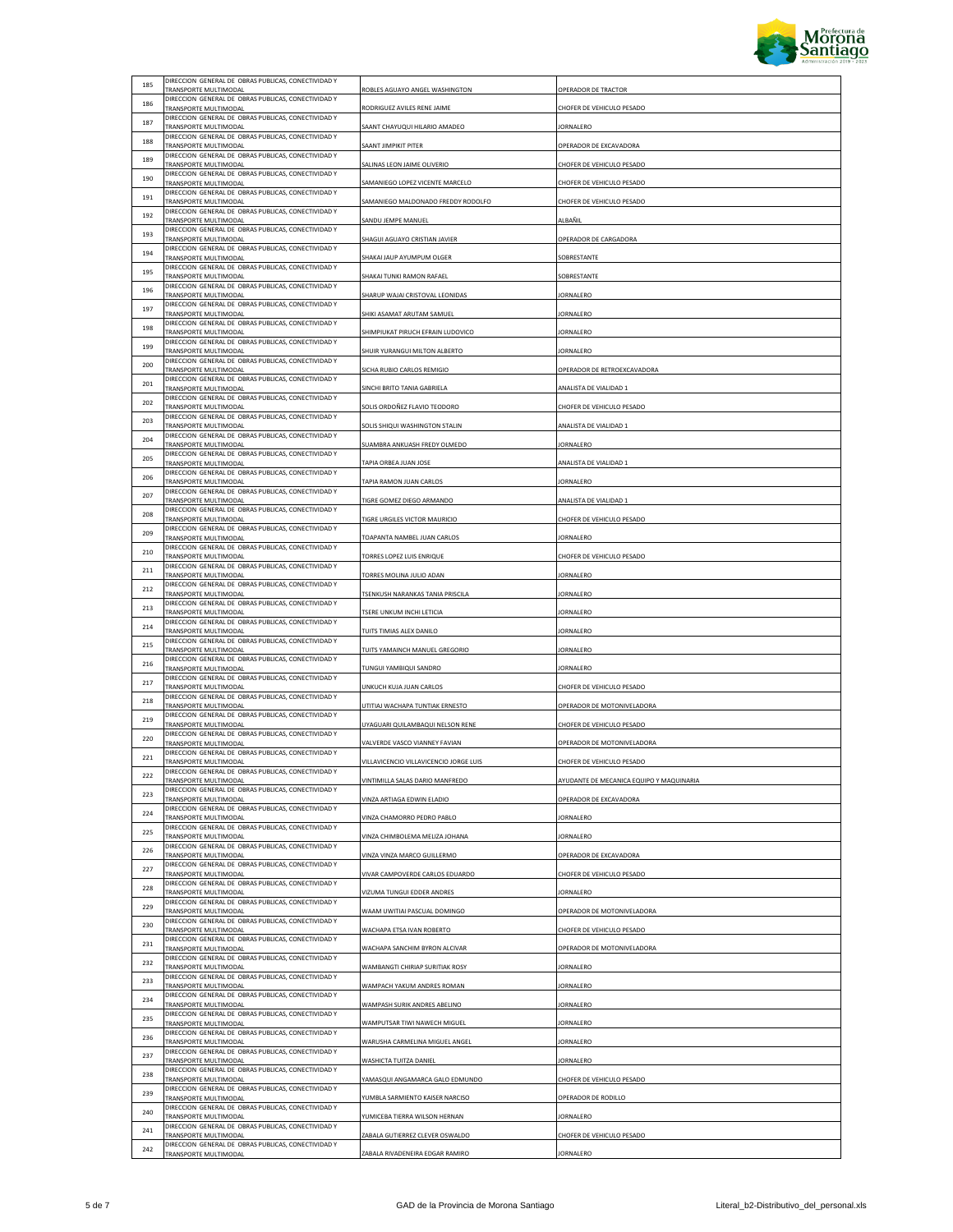

| 185 | DIRECCION GENERAL DE OBRAS PUBLICAS, CONECTIVIDAD Y<br>TRANSPORTE MULTIMODAL                                                        | ROBLES AGUAYO ANGEL WASHINGTON         | OPERADOR DE TRACTOR                      |
|-----|-------------------------------------------------------------------------------------------------------------------------------------|----------------------------------------|------------------------------------------|
| 186 | DIRECCION GENERAL DE OBRAS PUBLICAS, CONECTIVIDAD Y<br>TRANSPORTE MULTIMODAL                                                        | RODRIGUEZ AVILES RENE JAIME            | CHOFER DE VEHICULO PESADO                |
| 187 | DIRECCION GENERAL DE OBRAS PUBLICAS, CONECTIVIDAD Y<br>TRANSPORTE MULTIMODAL                                                        | SAANT CHAYUQUI HILARIO AMADEO          | <b>JORNALERO</b>                         |
| 188 | DIRECCION GENERAL DE OBRAS PUBLICAS, CONECTIVIDAD Y<br>TRANSPORTE MULTIMODAL                                                        | SAANT JIMPIKIT PITER                   | OPERADOR DE EXCAVADORA                   |
| 189 | DIRECCION GENERAL DE OBRAS PUBLICAS, CONECTIVIDAD Y<br>TRANSPORTE MULTIMODAL                                                        | SALINAS LEON JAIME OLIVERIO            | CHOFER DE VEHICULO PESADO                |
| 190 | DIRECCION GENERAL DE OBRAS PUBLICAS, CONECTIVIDAD Y                                                                                 |                                        |                                          |
| 191 | TRANSPORTE MULTIMODAL<br>DIRECCION GENERAL DE OBRAS PUBLICAS, CONECTIVIDAD Y                                                        | SAMANIEGO LOPEZ VICENTE MARCELO        | CHOFER DE VEHICULO PESADO                |
| 192 | TRANSPORTE MULTIMODAL<br>DIRECCION GENERAL DE OBRAS PUBLICAS, CONECTIVIDAD Y                                                        | SAMANIEGO MALDONADO FREDDY RODOLFO     | CHOFER DE VEHICULO PESADO                |
| 193 | TRANSPORTE MULTIMODAL<br>DIRECCION GENERAL DE OBRAS PUBLICAS, CONECTIVIDAD Y                                                        | SANDU JEMPE MANUEL                     | ALBAÑIL                                  |
| 194 | TRANSPORTE MULTIMODAL<br>DIRECCION GENERAL DE OBRAS PUBLICAS, CONECTIVIDAD Y                                                        | SHAGUI AGUAYO CRISTIAN JAVIER          | OPERADOR DE CARGADORA                    |
|     | TRANSPORTE MULTIMODAL<br>DIRECCION GENERAL DE OBRAS PUBLICAS, CONECTIVIDAD Y                                                        | SHAKAI JAUP AYUMPUM OLGER              | SOBRESTANTE                              |
| 195 | TRANSPORTE MULTIMODAL<br>DIRECCION GENERAL DE OBRAS PUBLICAS, CONECTIVIDAD Y                                                        | SHAKAI TUNKI RAMON RAFAEL              | SOBRESTANTE                              |
| 196 | TRANSPORTE MULTIMODAL<br>DIRECCION GENERAL DE OBRAS PUBLICAS, CONECTIVIDAD Y                                                        | SHARUP WAJAI CRISTOVAL LEONIDAS        | JORNALERO                                |
| 197 | TRANSPORTE MULTIMODAL<br>DIRECCION GENERAL DE OBRAS PUBLICAS, CONECTIVIDAD Y                                                        | SHIKI ASAMAT ARUTAM SAMUEL             | JORNALERO                                |
| 198 | TRANSPORTE MULTIMODAL<br>DIRECCION GENERAL DE OBRAS PUBLICAS, CONECTIVIDAD Y                                                        | SHIMPIUKAT PIRUCH EFRAIN LUDOVICO      | JORNALERO                                |
| 199 | TRANSPORTE MULTIMODAL                                                                                                               | SHUIR YURANGUI MILTON ALBERTO          | JORNALERO                                |
| 200 | DIRECCION GENERAL DE OBRAS PUBLICAS, CONECTIVIDAD Y<br>TRANSPORTE MULTIMODAL                                                        | SICHA RUBIO CARLOS REMIGIO             | OPERADOR DE RETROEXCAVADORA              |
| 201 | DIRECCION GENERAL DE OBRAS PUBLICAS, CONECTIVIDAD Y<br>TRANSPORTE MULTIMODAL                                                        | SINCHI BRITO TANIA GABRIELA            | ANALISTA DE VIALIDAD 1                   |
| 202 | DIRECCION GENERAL DE OBRAS PUBLICAS, CONECTIVIDAD Y<br>TRANSPORTE MULTIMODAL                                                        | SOLIS ORDOÑEZ FLAVIO TEODORO           | CHOFER DE VEHICULO PESADO                |
| 203 | DIRECCION GENERAL DE OBRAS PUBLICAS, CONECTIVIDAD Y<br>TRANSPORTE MULTIMODAL                                                        | SOLIS SHIQUI WASHINGTON STALIN         | ANALISTA DE VIALIDAD 1                   |
| 204 | DIRECCION GENERAL DE OBRAS PUBLICAS, CONECTIVIDAD Y<br>TRANSPORTE MULTIMODAL                                                        | SUAMBRA ANKUASH FREDY OLMEDO           | JORNALERO                                |
| 205 | DIRECCION GENERAL DE OBRAS PUBLICAS, CONECTIVIDAD Y<br>TRANSPORTE MULTIMODAL                                                        | TAPIA ORBEA JUAN JOSE                  | ANALISTA DE VIALIDAD 1                   |
| 206 | DIRECCION GENERAL DE OBRAS PUBLICAS, CONECTIVIDAD Y<br>TRANSPORTE MULTIMODAL                                                        | TAPIA RAMON JUAN CARLOS                | <b>JORNALERO</b>                         |
| 207 | DIRECCION GENERAL DE OBRAS PUBLICAS, CONECTIVIDAD Y<br>TRANSPORTE MULTIMODAL                                                        | TIGRE GOMEZ DIEGO ARMANDO              | ANALISTA DE VIALIDAD 1                   |
| 208 | DIRECCION GENERAL DE OBRAS PUBLICAS, CONECTIVIDAD Y<br>TRANSPORTE MULTIMODAL                                                        | TIGRE URGILES VICTOR MAURICIO          | CHOFER DE VEHICULO PESADO                |
| 209 | DIRECCION GENERAL DE OBRAS PUBLICAS, CONECTIVIDAD Y                                                                                 |                                        |                                          |
| 210 | TRANSPORTE MULTIMODAL<br>DIRECCION GENERAL DE OBRAS PUBLICAS, CONECTIVIDAD Y                                                        | TOAPANTA NAMBEL JUAN CARLOS            | <b>JORNALERO</b>                         |
| 211 | TRANSPORTE MULTIMODAL<br>DIRECCION GENERAL DE OBRAS PUBLICAS, CONECTIVIDAD Y                                                        | TORRES LOPEZ LUIS ENRIQUE              | CHOFER DE VEHICULO PESADO                |
| 212 | TRANSPORTE MULTIMODAL<br>DIRECCION GENERAL DE OBRAS PUBLICAS, CONECTIVIDAD Y                                                        | TORRES MOLINA JULIO ADAN               | <b>JORNALERO</b>                         |
| 213 | TRANSPORTE MULTIMODAL<br>DIRECCION GENERAL DE OBRAS PUBLICAS, CONECTIVIDAD Y                                                        | TSENKUSH NARANKAS TANIA PRISCILA       | JORNALERO                                |
| 214 | TRANSPORTE MULTIMODAL<br>DIRECCION GENERAL DE OBRAS PUBLICAS, CONECTIVIDAD Y                                                        | TSERE UNKUM INCHI LETICIA              | JORNALERO                                |
|     | TRANSPORTE MULTIMODAL<br>DIRECCION GENERAL DE OBRAS PUBLICAS, CONECTIVIDAD Y                                                        | TUITS TIMIAS ALEX DANILO               | JORNALERO                                |
| 215 | TRANSPORTE MULTIMODAL<br>DIRECCION GENERAL DE OBRAS PUBLICAS, CONECTIVIDAD Y                                                        | TUITS YAMAINCH MANUEL GREGORIO         | JORNALERO                                |
| 216 | TRANSPORTE MULTIMODAL<br>DIRECCION GENERAL DE OBRAS PUBLICAS, CONECTIVIDAD Y                                                        | TUNGUI YAMBIQUI SANDRO                 | JORNALERO                                |
| 217 | TRANSPORTE MULTIMODAL<br>DIRECCION GENERAL DE OBRAS PUBLICAS, CONECTIVIDAD Y                                                        | UNKUCH KUJA JUAN CARLOS                | CHOFER DE VEHICULO PESADO                |
| 218 | TRANSPORTE MULTIMODAL<br>DIRECCION GENERAL DE OBRAS PUBLICAS, CONECTIVIDAD Y                                                        | UTITIAJ WACHAPA TUNTIAK ERNESTO        | OPERADOR DE MOTONIVELADORA               |
| 219 | TRANSPORTE MULTIMODAL<br>DIRECCION GENERAL DE OBRAS PUBLICAS, CONECTIVIDAD Y                                                        | UYAGUARI QUILAMBAQUI NELSON RENE       | CHOFER DE VEHICULO PESADO                |
| 220 | TRANSPORTE MULTIMODAL<br>DIRECCION GENERAL DE OBRAS PUBLICAS, CONECTIVIDAD Y                                                        | VALVERDE VASCO VIANNEY FAVIAN          | OPERADOR DE MOTONIVELADORA               |
| 221 | TRANSPORTE MULTIMODAL                                                                                                               | VILLAVICENCIO VILLAVICENCIO JORGE LUIS | CHOFER DE VEHICULO PESADO                |
| 222 | DIRECCION GENERAL DE OBRAS PUBLICAS, CONECTIVIDAD Y<br>TRANSPORTE MULTIMODAL<br>DIRECCION GENERAL DE OBRAS PUBLICAS, CONECTIVIDAD Y | VINTIMILLA SALAS DARIO MANFREDO        | AYUDANTE DE MECANICA EQUIPO Y MAQUINARIA |
| 223 | TRANSPORTE MULTIMODAL                                                                                                               | VINZA ARTIAGA EDWIN ELADIO             | OPERADOR DE EXCAVADORA                   |
| 224 | DIRECCION GENERAL DE OBRAS PUBLICAS, CONECTIVIDAD Y<br>TRANSPORTE MULTIMODAL                                                        | VINZA CHAMORRO PEDRO PABLO             | JORNALERO                                |
| 225 | DIRECCION GENERAL DE OBRAS PUBLICAS, CONECTIVIDAD Y<br>TRANSPORTE MULTIMODAL                                                        | VINZA CHIMBOLEMA MELIZA JOHANA         | JORNALERO                                |
| 226 | DIRECCION GENERAL DE OBRAS PUBLICAS, CONECTIVIDAD Y<br>TRANSPORTE MULTIMODAL                                                        | VINZA VINZA MARCO GUILLERMO            | OPERADOR DE EXCAVADORA                   |
| 227 | DIRECCION GENERAL DE OBRAS PUBLICAS, CONECTIVIDAD Y<br>TRANSPORTE MULTIMODAL                                                        | VIVAR CAMPOVERDE CARLOS EDUARDO        | CHOFER DE VEHICULO PESADO                |
| 228 | DIRECCION GENERAL DE OBRAS PUBLICAS, CONECTIVIDAD Y<br>TRANSPORTE MULTIMODAL                                                        | VIZUMA TUNGUI EDDER ANDRES             | JORNALERO                                |
| 229 | DIRECCION GENERAL DE OBRAS PUBLICAS, CONECTIVIDAD Y<br>TRANSPORTE MULTIMODAL                                                        | WAAM UWITIAI PASCUAL DOMINGO           | OPERADOR DE MOTONIVELADORA               |
| 230 | DIRECCION GENERAL DE OBRAS PUBLICAS, CONECTIVIDAD Y<br>TRANSPORTE MULTIMODAL                                                        | WACHAPA ETSA IVAN ROBERTO              | CHOFER DE VEHICULO PESADO                |
| 231 | DIRECCION GENERAL DE OBRAS PUBLICAS, CONECTIVIDAD Y<br>TRANSPORTE MULTIMODAL                                                        | WACHAPA SANCHIM BYRON ALCIVAR          | OPERADOR DE MOTONIVELADORA               |
| 232 | DIRECCION GENERAL DE OBRAS PUBLICAS, CONECTIVIDAD Y<br>TRANSPORTE MULTIMODAL                                                        | WAMBANGTI CHIRIAP SURITIAK ROSY        | JORNALERO                                |
| 233 | DIRECCION GENERAL DE OBRAS PUBLICAS, CONECTIVIDAD Y<br>TRANSPORTE MULTIMODAL                                                        | WAMPACH YAKUM ANDRES ROMAN             | JORNALERO                                |
| 234 | DIRECCION GENERAL DE OBRAS PUBLICAS, CONECTIVIDAD Y<br>TRANSPORTE MULTIMODAL                                                        | WAMPASH SURIK ANDRES ABELINO           | JORNALERO                                |
| 235 | DIRECCION GENERAL DE OBRAS PUBLICAS, CONECTIVIDAD Y<br>TRANSPORTE MULTIMODAL                                                        | WAMPUTSAR TIWI NAWECH MIGUEL           | JORNALERO                                |
| 236 | DIRECCION GENERAL DE OBRAS PUBLICAS, CONECTIVIDAD Y                                                                                 | WARUSHA CARMELINA MIGUEL ANGEL         | JORNALERO                                |
| 237 | TRANSPORTE MULTIMODAL<br>DIRECCION GENERAL DE OBRAS PUBLICAS, CONECTIVIDAD Y                                                        |                                        |                                          |
| 238 | TRANSPORTE MULTIMODAL<br>DIRECCION GENERAL DE OBRAS PUBLICAS, CONECTIVIDAD Y                                                        | WASHICTA TUITZA DANIEL                 | JORNALERO                                |
| 239 | TRANSPORTE MULTIMODAL<br>DIRECCION GENERAL DE OBRAS PUBLICAS, CONECTIVIDAD Y                                                        | YAMASQUI ANGAMARCA GALO EDMUNDO        | CHOFER DE VEHICULO PESADO                |
| 240 | TRANSPORTE MULTIMODAL<br>DIRECCION GENERAL DE OBRAS PUBLICAS, CONECTIVIDAD Y                                                        | YUMBLA SARMIENTO KAISER NARCISO        | OPERADOR DE RODILLO                      |
| 241 | TRANSPORTE MULTIMODAL<br>DIRECCION GENERAL DE OBRAS PUBLICAS, CONECTIVIDAD Y                                                        | YUMICEBA TIERRA WILSON HERNAN          | JORNALERO                                |
|     | TRANSPORTE MULTIMODAL<br>DIRECCION GENERAL DE OBRAS PUBLICAS, CONECTIVIDAD Y                                                        | ZABALA GUTIERREZ CLEVER OSWALDO        | CHOFER DE VEHICULO PESADO                |
| 242 | TRANSPORTE MULTIMODAL                                                                                                               | ZABALA RIVADENEIRA EDGAR RAMIRO        | JORNALERO                                |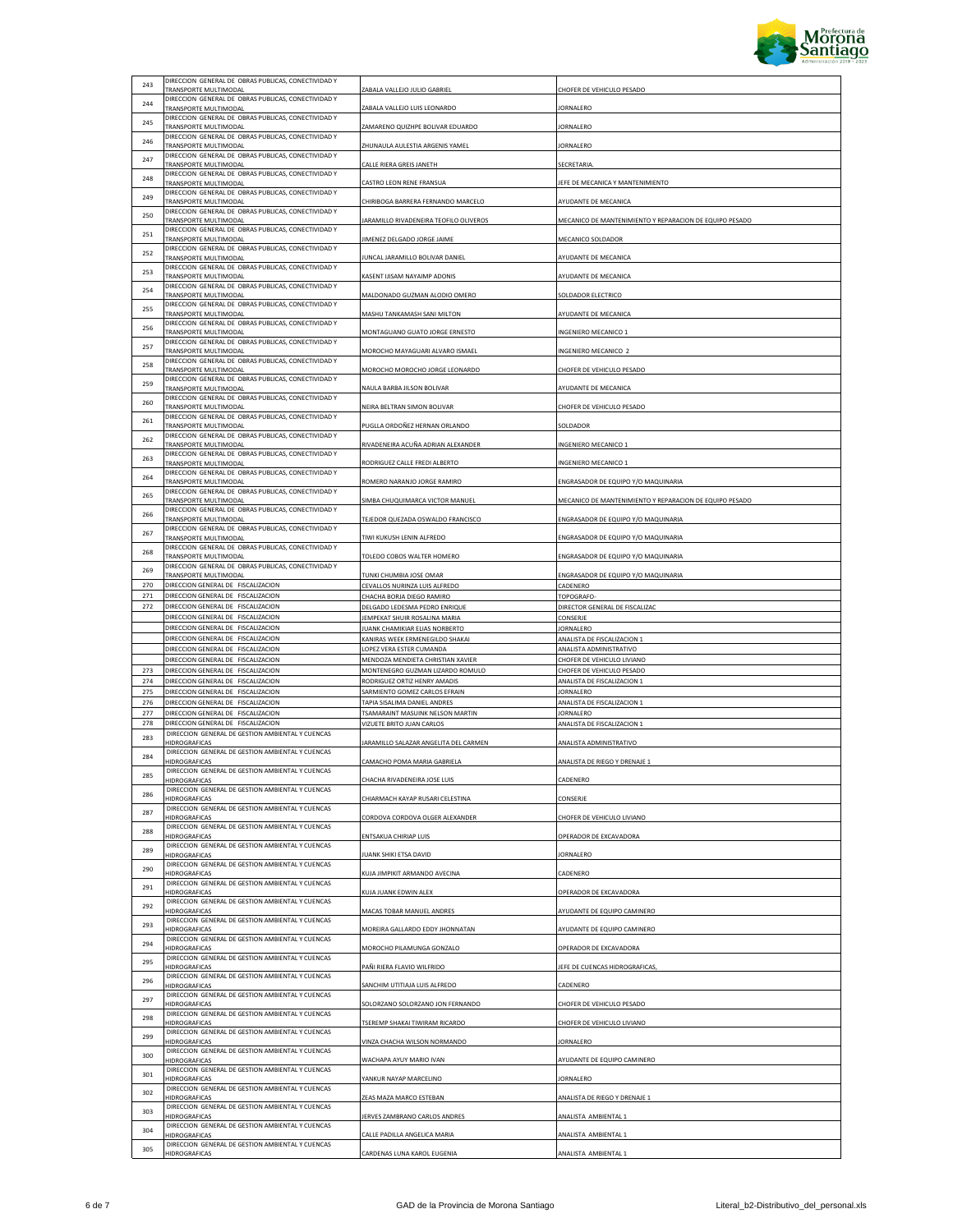

|            | DIRECCION GENERAL DE OBRAS PUBLICAS, CONECTIVIDAD Y                                 |                                                                       |                                                         |
|------------|-------------------------------------------------------------------------------------|-----------------------------------------------------------------------|---------------------------------------------------------|
| 243        | <b>FRANSPORTE MULTIMODAL</b>                                                        | ZABALA VALLEJO JULIO GABRIEL                                          | CHOFER DE VEHICULO PESADO                               |
| 244        | DIRECCION GENERAL DE OBRAS PUBLICAS, CONECTIVIDAD Y<br><b>FRANSPORTE MULTIMODAL</b> | ZABALA VALLEJO LUIS LEONARDO                                          | <b>JORNALERO</b>                                        |
| 245        | DIRECCION GENERAL DE OBRAS PUBLICAS, CONECTIVIDAD Y                                 |                                                                       |                                                         |
| 246        | <b>FRANSPORTE MULTIMODAL</b><br>DIRECCION GENERAL DE OBRAS PUBLICAS, CONECTIVIDAD Y | ZAMARENO QUIZHPE BOLIVAR EDUARDO                                      | <b>JORNALERO</b>                                        |
|            | <b>FRANSPORTE MULTIMODAL</b><br>DIRECCION GENERAL DE OBRAS PUBLICAS, CONECTIVIDAD Y | ZHUNAULA AULESTIA ARGENIS YAMEL                                       | <b>JORNALERO</b>                                        |
| 247        | <b>FRANSPORTE MULTIMODAL</b>                                                        | CALLE RIERA GREIS JANETH                                              | <b>SECRETARIA</b>                                       |
| 248        | DIRECCION GENERAL DE OBRAS PUBLICAS, CONECTIVIDAD Y<br>RANSPORTE MULTIMODAL         | CASTRO LEON RENE FRANSUA                                              | JEFE DE MECANICA Y MANTENIMIENTO                        |
| 249        | DIRECCION GENERAL DE OBRAS PUBLICAS, CONECTIVIDAD Y                                 |                                                                       |                                                         |
|            | <b>FRANSPORTE MULTIMODAL</b><br>DIRECCION GENERAL DE OBRAS PUBLICAS, CONECTIVIDAD Y | CHIRIBOGA BARRERA FERNANDO MARCELO                                    | AYUDANTE DE MECANICA                                    |
| 250        | <b>FRANSPORTE MULTIMODAL</b>                                                        | ARAMILLO RIVADENEIRA TEOFILO OLIVEROS                                 | MECANICO DE MANTENIMIENTO Y REPARACION DE EQUIPO PESADO |
| 251        | DIRECCION GENERAL DE OBRAS PUBLICAS, CONECTIVIDAD Y<br><b>FRANSPORTE MULTIMODAL</b> | IIMENEZ DELGADO JORGE JAIME                                           | MECANICO SOLDADOR                                       |
| 252        | DIRECCION GENERAL DE OBRAS PUBLICAS, CONECTIVIDAD Y<br><b>FRANSPORTE MULTIMODAL</b> |                                                                       | AYUDANTE DE MECANICA                                    |
| 253        | DIRECCION GENERAL DE OBRAS PUBLICAS, CONECTIVIDAD Y                                 | IUNCAL JARAMILLO BOLIVAR DANIEL                                       |                                                         |
|            | <b>TRANSPORTE MULTIMODAL</b><br>DIRECCION GENERAL DE OBRAS PUBLICAS, CONECTIVIDAD Y | KASENT IJISAM NAYAIMP ADONIS                                          | AYUDANTE DE MECANICA                                    |
| 254        | <b>TRANSPORTE MULTIMODAL</b>                                                        | MALDONADO GUZMAN ALODIO OMERO                                         | SOLDADOR ELECTRICO                                      |
| 255        | DIRECCION GENERAL DE OBRAS PUBLICAS, CONECTIVIDAD Y<br><b>FRANSPORTE MULTIMODAL</b> | MASHU TANKAMASH SANI MILTON                                           | AYUDANTE DE MECANICA                                    |
| 256        | DIRECCION GENERAL DE OBRAS PUBLICAS, CONECTIVIDAD Y                                 |                                                                       |                                                         |
|            | <b>FRANSPORTE MULTIMODAL</b><br>DIRECCION GENERAL DE OBRAS PUBLICAS, CONECTIVIDAD Y | MONTAGUANO GUATO JORGE ERNESTO                                        | <b>INGENIERO MECANICO 1</b>                             |
| 257        | <b>FRANSPORTE MULTIMODAL</b><br>DIRECCION GENERAL DE OBRAS PUBLICAS, CONECTIVIDAD Y | MOROCHO MAYAGUARI ALVARO ISMAEL                                       | <b>INGENIERO MECANICO 2</b>                             |
| 258        | <b>FRANSPORTE MULTIMODAL</b>                                                        | MOROCHO MOROCHO JORGE LEONARDO                                        | CHOFER DE VEHICULO PESADO                               |
| 259        | DIRECCION GENERAL DE OBRAS PUBLICAS, CONECTIVIDAD Y<br><b>FRANSPORTE MULTIMODAL</b> | NAULA BARBA JILSON BOLIVAR                                            | AYUDANTE DE MECANICA                                    |
| 260        | DIRECCION GENERAL DE OBRAS PUBLICAS, CONECTIVIDAD Y                                 |                                                                       |                                                         |
|            | <b>FRANSPORTE MULTIMODAL</b><br>DIRECCION GENERAL DE OBRAS PUBLICAS, CONECTIVIDAD Y | NEIRA BELTRAN SIMON BOLIVAR                                           | CHOFER DE VEHICULO PESADO                               |
| 261        | <b>TRANSPORTE MULTIMODAL</b><br>DIRECCION GENERAL DE OBRAS PUBLICAS, CONECTIVIDAD Y | PUGLLA ORDOÑEZ HERNAN ORLANDO                                         | SOI DADOR                                               |
| 262        | TRANSPORTE MULTIMODAL                                                               | RIVADENEIRA ACUÑA ADRIAN ALEXANDER                                    | INGENIERO MECANICO 1                                    |
| 263        | DIRECCION GENERAL DE OBRAS PUBLICAS, CONECTIVIDAD Y<br>TRANSPORTE MULTIMODAL        | RODRIGUEZ CALLE FREDI ALBERTO                                         | <b>INGENIERO MECANICO 1</b>                             |
| 264        | DIRECCION GENERAL DE OBRAS PUBLICAS, CONECTIVIDAD Y                                 |                                                                       |                                                         |
|            | TRANSPORTE MULTIMODAL<br>DIRECCION GENERAL DE OBRAS PUBLICAS, CONECTIVIDAD Y        | ROMERO NARANJO JORGE RAMIRO                                           | ENGRASADOR DE EQUIPO Y/O MAQUINARIA                     |
| 265        | TRANSPORTE MULTIMODAL                                                               | SIMBA CHUQUIMARCA VICTOR MANUEL                                       | MECANICO DE MANTENIMIENTO Y REPARACION DE EQUIPO PESADO |
| 266        | DIRECCION GENERAL DE OBRAS PUBLICAS, CONECTIVIDAD Y<br>TRANSPORTE MULTIMODAL        | TEJEDOR QUEZADA OSWALDO FRANCISCO                                     | ENGRASADOR DE EQUIPO Y/O MAQUINARIA                     |
| 267        | DIRECCION GENERAL DE OBRAS PUBLICAS, CONECTIVIDAD Y<br>TRANSPORTE MULTIMODAL        | TIWI KUKUSH LENIN ALFREDO                                             | ENGRASADOR DE EQUIPO Y/O MAQUINARIA                     |
| 268        | DIRECCION GENERAL DE OBRAS PUBLICAS, CONECTIVIDAD Y                                 |                                                                       |                                                         |
|            | TRANSPORTE MULTIMODAL<br>DIRECCION GENERAL DE OBRAS PUBLICAS, CONECTIVIDAD Y        | TOLEDO COBOS WALTER HOMERO                                            | ENGRASADOR DE EQUIPO Y/O MAQUINARIA                     |
| 269<br>270 | TRANSPORTE MULTIMODAL                                                               | TUNKI CHUMBIA JOSE OMAR                                               | ENGRASADOR DE EQUIPO Y/O MAQUINARIA                     |
| 271        | DIRECCION GENERAL DE FISCALIZACION<br>DIRECCION GENERAL DE FISCALIZACION            | CEVALLOS NURINZA LUIS ALFREDO<br>HACHA BORJA DIEGO RAMIRO             | CADENERO<br><b>TOPOGRAFO</b>                            |
| 272        | DIRECCION GENERAL DE FISCALIZACION                                                  | DELGADO LEDESMA PEDRO ENRIQUE                                         | DIRECTOR GENERAL DE FISCALIZAC                          |
|            | DIRECCION GENERAL DE FISCALIZACION<br>DIRECCION GENERAL DE FISCALIZACION            | IEMPEKAT SHUIR ROSALINA MARIA<br>UANK CHAMIKIAR ELIAS NORBERTO        | CONSERJE<br><b>JORNALERO</b>                            |
|            | DIRECCION GENERAL DE FISCALIZACION                                                  | ANIRAS WEEK ERMENEGILDO SHAKAI                                        | ANALISTA DE FISCALIZACION 1                             |
|            |                                                                                     |                                                                       |                                                         |
|            | DIRECCION GENERAL DE FISCALIZACION                                                  | OPEZ VERA ESTER CUMANDA                                               | ANALISTA ADMINISTRATIVO                                 |
| 273        | DIRECCION GENERAL DE FISCALIZACION<br>DIRECCION GENERAL DE FISCALIZACION            | MENDOZA MENDIETA CHRISTIAN XAVIER<br>MONTENEGRO GUZMAN LIZARDO ROMULO | CHOFER DE VEHICULO LIVIANO<br>CHOFER DE VEHICULO PESADO |
| 274        | DIRECCION GENERAL DE FISCALIZACION                                                  | RODRIGUEZ ORTIZ HENRY AMADIS                                          | ANALISTA DE FISCALIZACION 1                             |
| 275        | DIRECCION GENERAL DE FISCALIZACION                                                  | ARMIENTO GOMEZ CARLOS EFRAIN                                          | <b>ORNALERO</b>                                         |
| 276<br>277 | DIRECCION GENERAL DE FISCALIZACION<br>DIRECCION GENERAL DE FISCALIZACION            | TAPIA SISALIMA DANIEL ANDRES<br>TSAMARAINT MASUINK NELSON MARTIN      | ANALISTA DE FISCALIZACION 1<br>ORNALERO                 |
| 278        | DIRECCION GENERAL DE FISCALIZACION                                                  | VIZUETE BRITO JUAN CARLOS                                             | ANALISTA DE FISCALIZACION 1                             |
| 283        | DIRECCION GENERAL DE GESTION AMBIENTAL Y CUENCAS<br><b>IIDROGRAFICAS</b>            | ARAMILLO SALAZAR ANGELITA DEL CARMEN                                  | ANALISTA ADMINISTRATIVO                                 |
| 284        | DIRECCION GENERAL DE GESTION AMBIENTAL Y CUENCAS                                    |                                                                       |                                                         |
| 285        | HIDROGRAFICAS<br>DIRECCION GENERAL DE GESTION AMBIENTAL Y CUENCAS                   | CAMACHO POMA MARIA GABRIELA                                           | ANALISTA DE RIEGO Y DRENAJE 1                           |
|            | <b>HIDROGRAFICAS</b><br>DIRECCION GENERAL DE GESTION AMBIENTAL Y CUENCAS            | HACHA RIVADENEIRA JOSE LUIS                                           | CADENERO                                                |
| 286        | HIDROGRAFICAS                                                                       | <b>CHIARMACH KAYAP RUSARI CELESTINA</b>                               | CONSERJE                                                |
| 287        | DIRECCION GENERAL DE GESTION AMBIENTAL Y CUENCAS<br><b>HIDROGRAFICAS</b>            | CORDOVA CORDOVA OLGER ALEXANDER                                       | CHOFER DE VEHICULO LIVIANO                              |
| 288        | DIRECCION GENERAL DE GESTION AMBIENTAL Y CUENCAS<br><b>HIDROGRAFICAS</b>            | <b>NTSAKUA CHIRIAP LUIS</b>                                           | OPERADOR DE EXCAVADORA                                  |
| 289        | DIRECCION GENERAL DE GESTION AMBIENTAL Y CUENCAS                                    |                                                                       |                                                         |
|            | <b>HIDROGRAFICAS</b><br>DIRECCION GENERAL DE GESTION AMBIENTAL Y CUENCAS            | UANK SHIKI ETSA DAVID                                                 | JORNALERO                                               |
| 290        | <b>HIDROGRAFICAS</b>                                                                | (UJA JIMPIKIT ARMANDO AVECINA                                         | CADENERO                                                |
| 291        | DIRECCION GENERAL DE GESTION AMBIENTAL Y CUENCAS<br><b>HIDROGRAFICAS</b>            | (UJA JUANK EDWIN ALEX                                                 | OPERADOR DE EXCAVADORA                                  |
| 292        | DIRECCION GENERAL DE GESTION AMBIENTAL Y CUENCAS<br><b>IIDROGRAFICAS</b>            | <b>MACAS TOBAR MANUEL ANDRES</b>                                      | AYUDANTE DE FOUIPO CAMINERO                             |
| 293        | DIRECCION GENERAL DE GESTION AMBIENTAL Y CUENCAS                                    |                                                                       |                                                         |
|            | <b>HIDROGRAFICAS</b><br>DIRECCION GENERAL DE GESTION AMBIENTAL Y CUENCAS            | <b>MOREIRA GALLARDO EDDY JHONNATAN</b>                                | AYUDANTE DE EQUIPO CAMINERO                             |
| 294        | <b>HIDROGRAFICAS</b>                                                                | <b>MOROCHO PILAMUNGA GONZALO</b>                                      | OPERADOR DE EXCAVADORA                                  |
| 295        | DIRECCION GENERAL DE GESTION AMBIENTAL Y CUENCAS<br><b>IIDROGRAFICAS</b>            | AÑI RIERA FLAVIO WILFRIDO                                             | JEFE DE CUENCAS HIDROGRAFICAS,                          |
| 296        | DIRECCION GENERAL DE GESTION AMBIENTAL Y CUENCAS<br><b>HIDROGRAFICAS</b>            | ANCHIM UTITIAJA LUIS ALFREDO                                          | CADENERO                                                |
| 297        | DIRECCION GENERAL DE GESTION AMBIENTAL Y CUENCAS                                    |                                                                       |                                                         |
|            | <b>HIDROGRAFICAS</b><br>DIRECCION GENERAL DE GESTION AMBIENTAL Y CUENCAS            | GOLORZANO SOLORZANO JON FERNANDO                                      | CHOFER DE VEHICULO PESADO                               |
| 298        | <b>HIDROGRAFICAS</b>                                                                | TSEREMP SHAKAI TIWIRAM RICARDO                                        | CHOFER DE VEHICULO LIVIANO                              |
| 299        | DIRECCION GENERAL DE GESTION AMBIENTAL Y CUENCAS<br><b>HIDROGRAFICAS</b>            | <b>/INZA CHACHA WILSON NORMANDO</b>                                   | <b>JORNALERO</b>                                        |
| 300        | DIRECCION GENERAL DE GESTION AMBIENTAL Y CUENCAS<br><b>HIDROGRAFICAS</b>            | WACHAPA AYUY MARIO IVAN                                               | AYUDANTE DE EQUIPO CAMINERO                             |
| 301        | DIRECCION GENERAL DE GESTION AMBIENTAL Y CUENCAS                                    |                                                                       |                                                         |
|            | <b>HIDROGRAFICAS</b><br>DIRECCION GENERAL DE GESTION AMBIENTAL Y CUENCAS            | ANKUR NAYAP MARCELINO                                                 | <b>JORNALERO</b>                                        |
| 302        | <b>HIDROGRAFICAS</b>                                                                | ZEAS MAZA MARCO ESTEBAN                                               | ANALISTA DE RIEGO Y DRENAJE 1                           |
| 303        | DIRECCION GENERAL DE GESTION AMBIENTAL Y CUENCAS<br><b>IIDROGRAFICAS</b>            | <b>JERVES ZAMBRANO CARLOS ANDRES</b>                                  | ANALISTA AMBIENTAL 1                                    |
| 304        | DIRECCION GENERAL DE GESTION AMBIENTAL Y CUENCAS<br><b>HIDROGRAFICAS</b>            | CALLE PADILLA ANGELICA MARIA                                          | ANALISTA AMBIENTAL 1                                    |
| 305        | DIRECCION GENERAL DE GESTION AMBIENTAL Y CUENCAS<br>HIDROGRAFICAS                   | CARDENAS LUNA KAROL EUGENIA                                           | ANALISTA AMBIENTAL 1                                    |